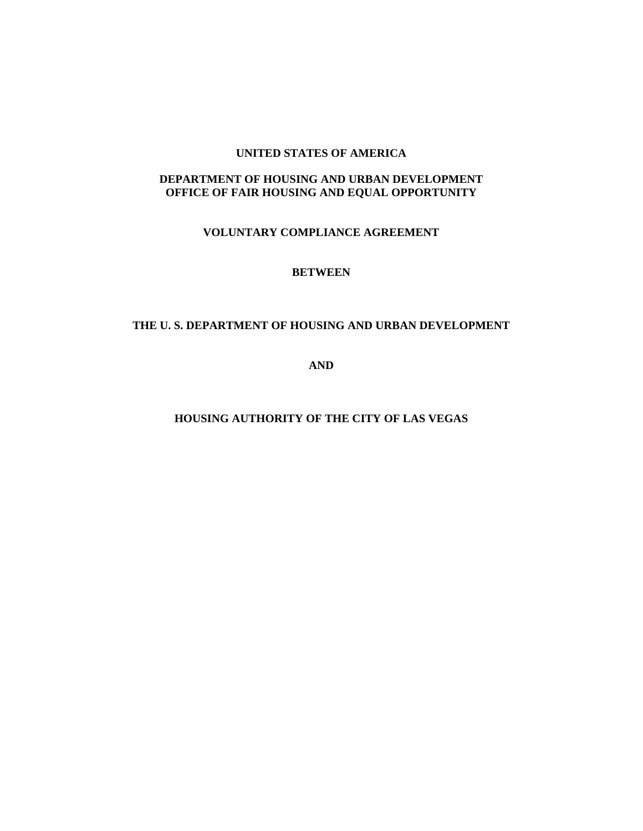#### **UNITED STATES OF AMERICA**

### **DEPARTMENT OF HOUSING AND URBAN DEVELOPMENT OFFICE OF FAIR HOUSING AND EQUAL OPPORTUNITY**

## **VOLUNTARY COMPLIANCE AGREEMENT**

### **BETWEEN**

### **THE U. S. DEPARTMENT OF HOUSING AND URBAN DEVELOPMENT**

**AND** 

**HOUSING AUTHORITY OF THE CITY OF LAS VEGAS**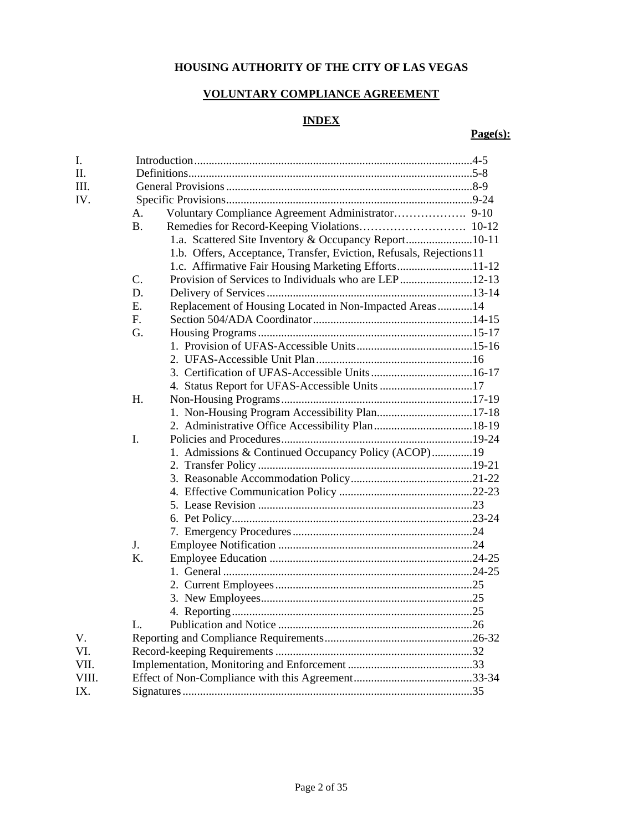# **HOUSING AUTHORITY OF THE CITY OF LAS VEGAS**

# **VOLUNTARY COMPLIANCE AGREEMENT**

# **INDEX**

# **Page(s):**

| I.    |                  |                                                                      |  |
|-------|------------------|----------------------------------------------------------------------|--|
| Π.    |                  |                                                                      |  |
| III.  |                  |                                                                      |  |
| IV.   |                  |                                                                      |  |
|       | А.               | Voluntary Compliance Agreement Administrator 9-10                    |  |
|       | <b>B.</b>        |                                                                      |  |
|       |                  | 1.a. Scattered Site Inventory & Occupancy Report10-11                |  |
|       |                  | 1.b. Offers, Acceptance, Transfer, Eviction, Refusals, Rejections 11 |  |
|       |                  | 1.c. Affirmative Fair Housing Marketing Efforts11-12                 |  |
|       | $\overline{C}$ . | Provision of Services to Individuals who are LEP12-13                |  |
|       | D.               |                                                                      |  |
|       | Е.               | Replacement of Housing Located in Non-Impacted Areas14               |  |
|       | F.               |                                                                      |  |
|       | G.               |                                                                      |  |
|       |                  |                                                                      |  |
|       |                  |                                                                      |  |
|       |                  |                                                                      |  |
|       |                  | 4. Status Report for UFAS-Accessible Units 17                        |  |
|       | Н.               |                                                                      |  |
|       |                  | 1. Non-Housing Program Accessibility Plan17-18                       |  |
|       |                  |                                                                      |  |
|       | I.               |                                                                      |  |
|       |                  | 1. Admissions & Continued Occupancy Policy (ACOP)19                  |  |
|       |                  |                                                                      |  |
|       |                  |                                                                      |  |
|       |                  |                                                                      |  |
|       |                  |                                                                      |  |
|       |                  |                                                                      |  |
|       |                  |                                                                      |  |
|       | J.               |                                                                      |  |
|       | K.               |                                                                      |  |
|       |                  |                                                                      |  |
|       |                  |                                                                      |  |
|       |                  |                                                                      |  |
|       |                  |                                                                      |  |
|       | L.               |                                                                      |  |
| V.    |                  |                                                                      |  |
| VI.   |                  |                                                                      |  |
| VII.  |                  |                                                                      |  |
| VIII. |                  |                                                                      |  |
| IX.   |                  |                                                                      |  |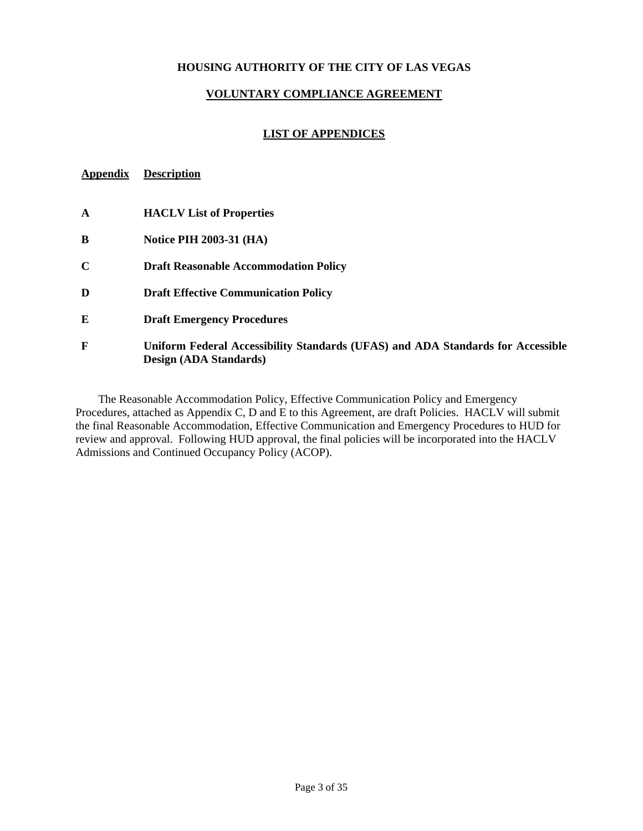### **HOUSING AUTHORITY OF THE CITY OF LAS VEGAS**

#### **VOLUNTARY COMPLIANCE AGREEMENT**

#### **LIST OF APPENDICES**

# **Appendix Description**

| A           | <b>HACLV</b> List of Properties                                                                           |
|-------------|-----------------------------------------------------------------------------------------------------------|
| B           | <b>Notice PIH 2003-31 (HA)</b>                                                                            |
| $\mathbf C$ | <b>Draft Reasonable Accommodation Policy</b>                                                              |
| D           | <b>Draft Effective Communication Policy</b>                                                               |
| E           | <b>Draft Emergency Procedures</b>                                                                         |
| F           | Uniform Federal Accessibility Standards (UFAS) and ADA Standards for Accessible<br>Design (ADA Standards) |

The Reasonable Accommodation Policy, Effective Communication Policy and Emergency Procedures, attached as Appendix C, D and E to this Agreement, are draft Policies. HACLV will submit the final Reasonable Accommodation, Effective Communication and Emergency Procedures to HUD for review and approval. Following HUD approval, the final policies will be incorporated into the HACLV Admissions and Continued Occupancy Policy (ACOP).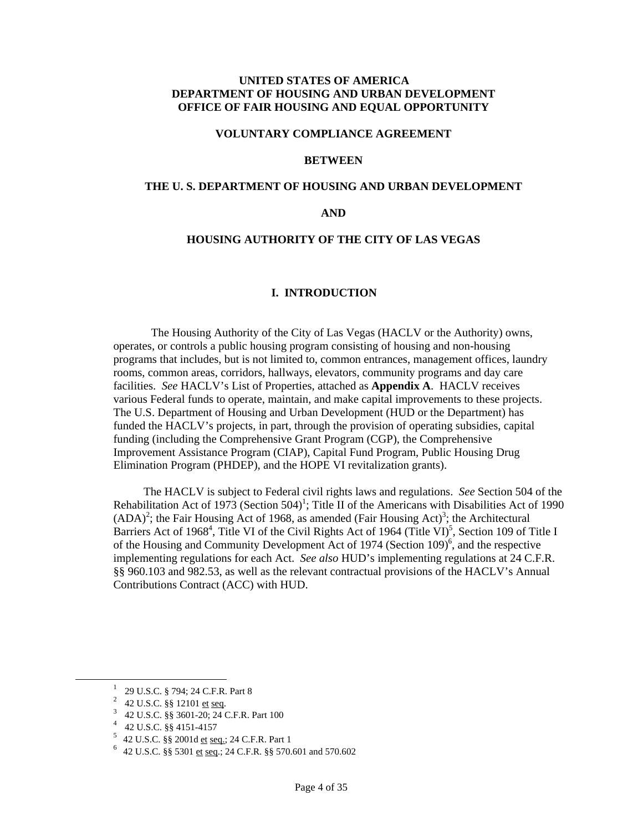#### **UNITED STATES OF AMERICA DEPARTMENT OF HOUSING AND URBAN DEVELOPMENT OFFICE OF FAIR HOUSING AND EQUAL OPPORTUNITY**

#### **VOLUNTARY COMPLIANCE AGREEMENT**

#### **BETWEEN**

#### **THE U. S. DEPARTMENT OF HOUSING AND URBAN DEVELOPMENT**

#### **AND**

#### **HOUSING AUTHORITY OF THE CITY OF LAS VEGAS**

#### **I. INTRODUCTION**

The Housing Authority of the City of Las Vegas (HACLV or the Authority) owns, operates, or controls a public housing program consisting of housing and non-housing programs that includes, but is not limited to, common entrances, management offices, laundry rooms, common areas, corridors, hallways, elevators, community programs and day care facilities. *See* HACLV's List of Properties, attached as **Appendix A**. HACLV receives various Federal funds to operate, maintain, and make capital improvements to these projects. The U.S. Department of Housing and Urban Development (HUD or the Department) has funded the HACLV's projects, in part, through the provision of operating subsidies, capital funding (including the Comprehensive Grant Program (CGP), the Comprehensive Improvement Assistance Program (CIAP), Capital Fund Program, Public Housing Drug Elimination Program (PHDEP), and the HOPE VI revitalization grants).

The HACLV is subject to Federal civil rights laws and regulations. *See* Section 504 of the Rehabilitation Act of [1](#page-3-0)973 (Section 504)<sup>1</sup>; Title II of the Americans with Disabilities Act of 1990  $(ADA)^2$ [;](#page-3-2) the Fair Housing Act of 1968, as amended (Fair Housing Act)<sup>3</sup>; the Architectural Barriers Act of 1968<sup>[4](#page-3-3)</sup>, Title VI of the Civil Rights Act of 1964 (Title VI)<sup>[5](#page-3-4)</sup>, Section 109 of Title I of the Housing and Community Development Act of 1974 (Section 109)<sup>6</sup>, and the respective implementing regulations for each Act. *See also* HUD's implementing regulations at 24 C.F.R. §§ 960.103 and 982.53, as well as the relevant contractual provisions of the HACLV's Annual Contributions Contract (ACC) with HUD.

<sup>&</sup>lt;u>1</u> <sup>1</sup> 29 U.S.C. § 794; 24 C.F.R. Part 8

<span id="page-3-1"></span><span id="page-3-0"></span><sup>&</sup>lt;sup>2</sup> 42 U.S.C. §§ 12101 <u>et seq</u>.

<span id="page-3-2"></span> $\begin{array}{r}\n 3 \quad 42 \text{ U.S.C. } \$\$ \ 3601-20; \ 24 \text{ C.F.R. Part } 100 \\
 4 \quad 42 \text{ U.S.C. } \$\$ \ 4151-4157\n\end{array}$ 

<span id="page-3-3"></span>

<span id="page-3-5"></span>

<span id="page-3-4"></span><sup>&</sup>lt;sup>5</sup> 42 U.S.C. §§ 2001d <u>et seq.</u>; 24 C.F.R. Part 1<br><sup>6</sup> 42 U.S.C. §§ 5301 <u>et seq.</u>; 24 C.F.R. §§ 570.601 and 570.602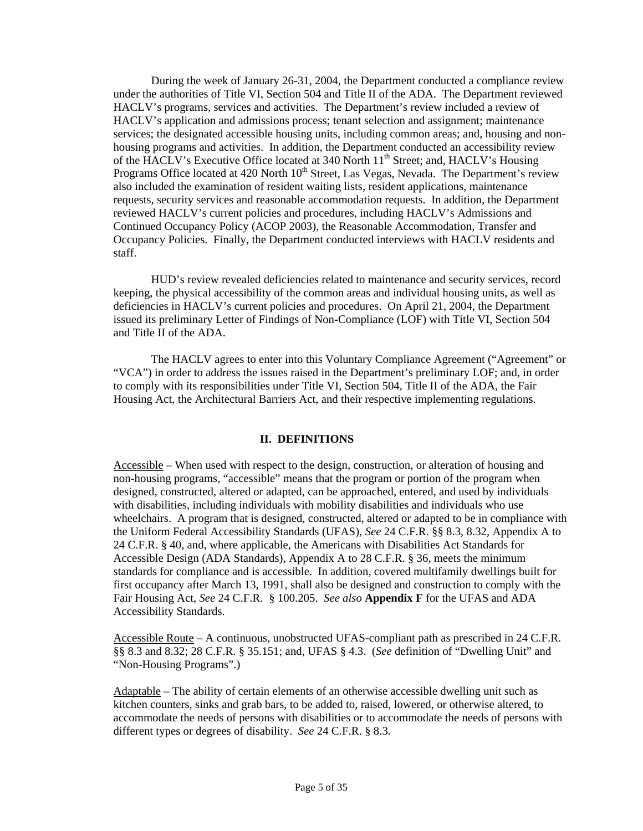During the week of January 26-31, 2004, the Department conducted a compliance review under the authorities of Title VI, Section 504 and Title II of the ADA. The Department reviewed HACLV's programs, services and activities. The Department's review included a review of HACLV's application and admissions process; tenant selection and assignment; maintenance services; the designated accessible housing units, including common areas; and, housing and nonhousing programs and activities. In addition, the Department conducted an accessibility review of the HACLV's Executive Office located at 340 North 11<sup>th</sup> Street; and, HACLV's Housing Programs Office located at 420 North  $10<sup>th</sup>$  Street, Las Vegas, Nevada. The Department's review also included the examination of resident waiting lists, resident applications, maintenance requests, security services and reasonable accommodation requests. In addition, the Department reviewed HACLV's current policies and procedures, including HACLV's Admissions and Continued Occupancy Policy (ACOP 2003), the Reasonable Accommodation, Transfer and Occupancy Policies. Finally, the Department conducted interviews with HACLV residents and staff.

HUD's review revealed deficiencies related to maintenance and security services, record keeping, the physical accessibility of the common areas and individual housing units, as well as deficiencies in HACLV's current policies and procedures. On April 21, 2004, the Department issued its preliminary Letter of Findings of Non-Compliance (LOF) with Title VI, Section 504 and Title II of the ADA.

The HACLV agrees to enter into this Voluntary Compliance Agreement ("Agreement" or "VCA") in order to address the issues raised in the Department's preliminary LOF; and, in order to comply with its responsibilities under Title VI, Section 504, Title II of the ADA, the Fair Housing Act, the Architectural Barriers Act, and their respective implementing regulations.

#### **II. DEFINITIONS**

Accessible – When used with respect to the design, construction, or alteration of housing and non-housing programs, "accessible" means that the program or portion of the program when designed, constructed, altered or adapted, can be approached, entered, and used by individuals with disabilities, including individuals with mobility disabilities and individuals who use wheelchairs. A program that is designed, constructed, altered or adapted to be in compliance with the Uniform Federal Accessibility Standards (UFAS), *See* 24 C.F.R. §§ 8.3, 8.32, Appendix A to 24 C.F.R. § 40, and, where applicable, the Americans with Disabilities Act Standards for Accessible Design (ADA Standards), Appendix A to 28 C.F.R. § 36, meets the minimum standards for compliance and is accessible. In addition, covered multifamily dwellings built for first occupancy after March 13, 1991, shall also be designed and construction to comply with the Fair Housing Act, *See* 24 C.F.R. § 100.205. *See also* **Appendix F** for the UFAS and ADA Accessibility Standards.

Accessible Route – A continuous, unobstructed UFAS-compliant path as prescribed in 24 C.F.R. §§ 8.3 and 8.32; 28 C.F.R. § 35.151; and, UFAS § 4.3. (*See* definition of "Dwelling Unit" and "Non-Housing Programs".)

Adaptable – The ability of certain elements of an otherwise accessible dwelling unit such as kitchen counters, sinks and grab bars, to be added to, raised, lowered, or otherwise altered, to accommodate the needs of persons with disabilities or to accommodate the needs of persons with different types or degrees of disability. *See* 24 C.F.R. § 8.3.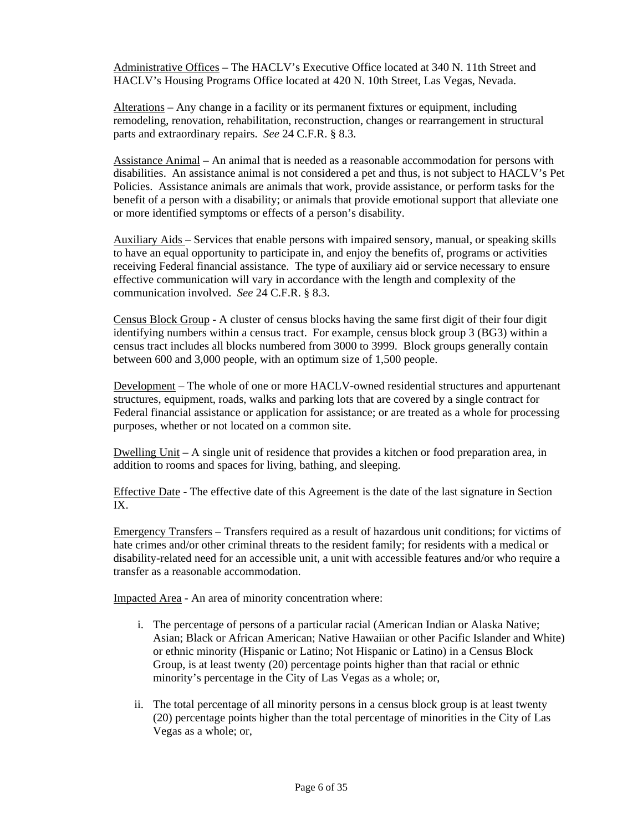Administrative Offices – The HACLV's Executive Office located at 340 N. 11th Street and HACLV's Housing Programs Office located at 420 N. 10th Street, Las Vegas, Nevada.

Alterations – Any change in a facility or its permanent fixtures or equipment, including remodeling, renovation, rehabilitation, reconstruction, changes or rearrangement in structural parts and extraordinary repairs. *See* 24 C.F.R. § 8.3.

Assistance Animal – An animal that is needed as a reasonable accommodation for persons with disabilities. An assistance animal is not considered a pet and thus, is not subject to HACLV's Pet Policies. Assistance animals are animals that work, provide assistance, or perform tasks for the benefit of a person with a disability; or animals that provide emotional support that alleviate one or more identified symptoms or effects of a person's disability.

Auxiliary Aids – Services that enable persons with impaired sensory, manual, or speaking skills to have an equal opportunity to participate in, and enjoy the benefits of, programs or activities receiving Federal financial assistance. The type of auxiliary aid or service necessary to ensure effective communication will vary in accordance with the length and complexity of the communication involved. *See* 24 C.F.R. § 8.3.

Census Block Group - A cluster of census blocks having the same first digit of their four digit identifying numbers within a census tract. For example, census block group 3 (BG3) within a census tract includes all blocks numbered from 3000 to 3999. Block groups generally contain between 600 and 3,000 people, with an optimum size of 1,500 people.

Development – The whole of one or more HACLV-owned residential structures and appurtenant structures, equipment, roads, walks and parking lots that are covered by a single contract for Federal financial assistance or application for assistance; or are treated as a whole for processing purposes, whether or not located on a common site.

Dwelling Unit – A single unit of residence that provides a kitchen or food preparation area, in addition to rooms and spaces for living, bathing, and sleeping.

Effective Date **-** The effective date of this Agreement is the date of the last signature in Section IX.

Emergency Transfers – Transfers required as a result of hazardous unit conditions; for victims of hate crimes and/or other criminal threats to the resident family; for residents with a medical or disability-related need for an accessible unit, a unit with accessible features and/or who require a transfer as a reasonable accommodation.

Impacted Area - An area of minority concentration where:

- i. The percentage of persons of a particular racial (American Indian or Alaska Native; Asian; Black or African American; Native Hawaiian or other Pacific Islander and White) or ethnic minority (Hispanic or Latino; Not Hispanic or Latino) in a Census Block Group, is at least twenty (20) percentage points higher than that racial or ethnic minority's percentage in the City of Las Vegas as a whole; or,
- ii. The total percentage of all minority persons in a census block group is at least twenty (20) percentage points higher than the total percentage of minorities in the City of Las Vegas as a whole; or,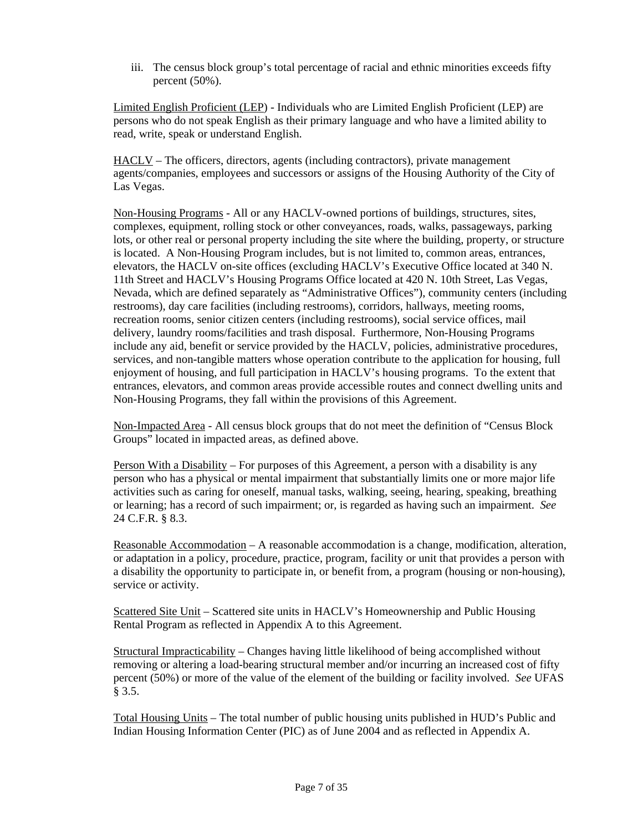iii. The census block group's total percentage of racial and ethnic minorities exceeds fifty percent (50%).

Limited English Proficient (LEP) - Individuals who are Limited English Proficient (LEP) are persons who do not speak English as their primary language and who have a limited ability to read, write, speak or understand English.

HACLV – The officers, directors, agents (including contractors), private management agents/companies, employees and successors or assigns of the Housing Authority of the City of Las Vegas.

Non-Housing Programs - All or any HACLV-owned portions of buildings, structures, sites, complexes, equipment, rolling stock or other conveyances, roads, walks, passageways, parking lots, or other real or personal property including the site where the building, property, or structure is located. A Non-Housing Program includes, but is not limited to, common areas, entrances, elevators, the HACLV on-site offices (excluding HACLV's Executive Office located at 340 N. 11th Street and HACLV's Housing Programs Office located at 420 N. 10th Street, Las Vegas, Nevada, which are defined separately as "Administrative Offices"), community centers (including restrooms), day care facilities (including restrooms), corridors, hallways, meeting rooms, recreation rooms, senior citizen centers (including restrooms), social service offices, mail delivery, laundry rooms/facilities and trash disposal. Furthermore, Non-Housing Programs include any aid, benefit or service provided by the HACLV, policies, administrative procedures, services, and non-tangible matters whose operation contribute to the application for housing, full enjoyment of housing, and full participation in HACLV's housing programs. To the extent that entrances, elevators, and common areas provide accessible routes and connect dwelling units and Non-Housing Programs, they fall within the provisions of this Agreement.

Non-Impacted Area - All census block groups that do not meet the definition of "Census Block Groups" located in impacted areas, as defined above.

Person With a Disability – For purposes of this Agreement, a person with a disability is any person who has a physical or mental impairment that substantially limits one or more major life activities such as caring for oneself, manual tasks, walking, seeing, hearing, speaking, breathing or learning; has a record of such impairment; or, is regarded as having such an impairment. *See*  24 C.F.R. § 8.3.

Reasonable Accommodation – A reasonable accommodation is a change, modification, alteration, or adaptation in a policy, procedure, practice, program, facility or unit that provides a person with a disability the opportunity to participate in, or benefit from, a program (housing or non-housing), service or activity.

Scattered Site Unit – Scattered site units in HACLV's Homeownership and Public Housing Rental Program as reflected in Appendix A to this Agreement.

Structural Impracticability – Changes having little likelihood of being accomplished without removing or altering a load-bearing structural member and/or incurring an increased cost of fifty percent (50%) or more of the value of the element of the building or facility involved. *See* UFAS § 3.5.

Total Housing Units – The total number of public housing units published in HUD's Public and Indian Housing Information Center (PIC) as of June 2004 and as reflected in Appendix A.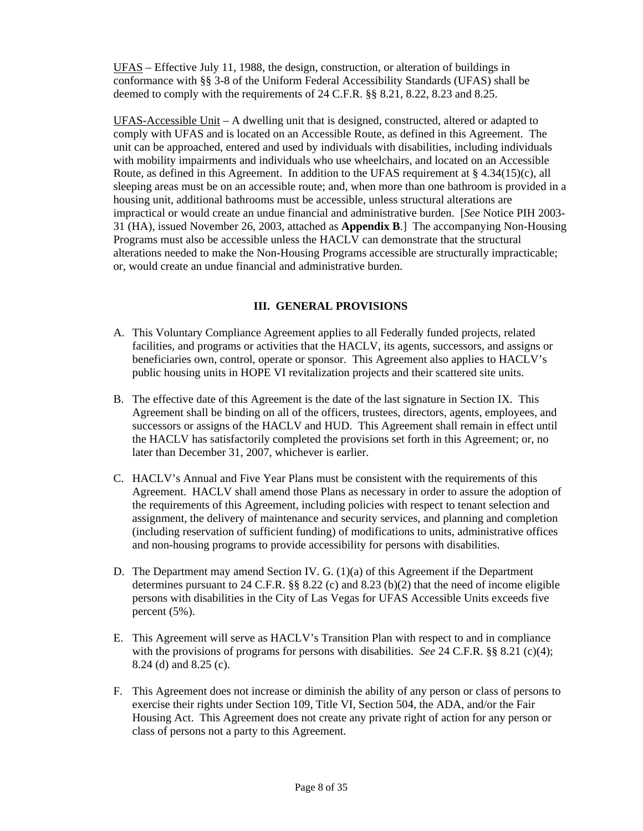UFAS – Effective July 11, 1988, the design, construction, or alteration of buildings in conformance with §§ 3-8 of the Uniform Federal Accessibility Standards (UFAS) shall be deemed to comply with the requirements of 24 C.F.R. §§ 8.21, 8.22, 8.23 and 8.25.

 UFAS-Accessible Unit – A dwelling unit that is designed, constructed, altered or adapted to comply with UFAS and is located on an Accessible Route, as defined in this Agreement. The unit can be approached, entered and used by individuals with disabilities, including individuals with mobility impairments and individuals who use wheelchairs, and located on an Accessible Route, as defined in this Agreement. In addition to the UFAS requirement at § 4.34(15)(c), all sleeping areas must be on an accessible route; and, when more than one bathroom is provided in a housing unit, additional bathrooms must be accessible, unless structural alterations are impractical or would create an undue financial and administrative burden. [*See* Notice PIH 2003- 31 (HA), issued November 26, 2003, attached as **Appendix B**.] The accompanying Non-Housing Programs must also be accessible unless the HACLV can demonstrate that the structural alterations needed to make the Non-Housing Programs accessible are structurally impracticable; or, would create an undue financial and administrative burden.

### **III. GENERAL PROVISIONS**

- A. This Voluntary Compliance Agreement applies to all Federally funded projects, related facilities, and programs or activities that the HACLV, its agents, successors, and assigns or beneficiaries own, control, operate or sponsor. This Agreement also applies to HACLV's public housing units in HOPE VI revitalization projects and their scattered site units.
- B. The effective date of this Agreement is the date of the last signature in Section IX. This Agreement shall be binding on all of the officers, trustees, directors, agents, employees, and successors or assigns of the HACLV and HUD. This Agreement shall remain in effect until the HACLV has satisfactorily completed the provisions set forth in this Agreement; or, no later than December 31, 2007, whichever is earlier.
- C. HACLV's Annual and Five Year Plans must be consistent with the requirements of this Agreement. HACLV shall amend those Plans as necessary in order to assure the adoption of the requirements of this Agreement, including policies with respect to tenant selection and assignment, the delivery of maintenance and security services, and planning and completion (including reservation of sufficient funding) of modifications to units, administrative offices and non-housing programs to provide accessibility for persons with disabilities.
- D. The Department may amend Section IV. G. (1)(a) of this Agreement if the Department determines pursuant to 24 C.F.R.  $\S$  8.22 (c) and 8.23 (b)(2) that the need of income eligible persons with disabilities in the City of Las Vegas for UFAS Accessible Units exceeds five percent (5%).
- E. This Agreement will serve as HACLV's Transition Plan with respect to and in compliance with the provisions of programs for persons with disabilities. *See* 24 C.F.R. §§ 8.21 (c)(4); 8.24 (d) and 8.25 (c).
- F. This Agreement does not increase or diminish the ability of any person or class of persons to exercise their rights under Section 109, Title VI, Section 504, the ADA, and/or the Fair Housing Act. This Agreement does not create any private right of action for any person or class of persons not a party to this Agreement.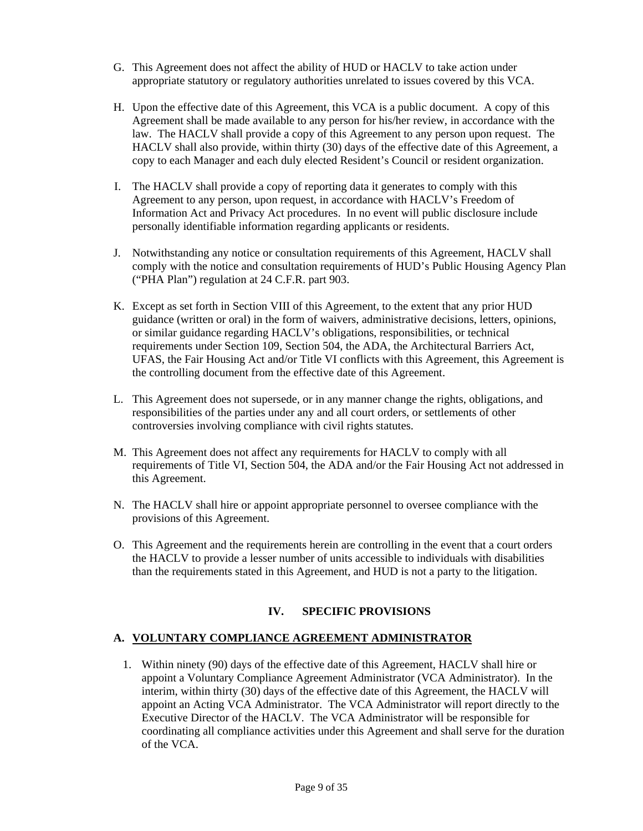- G. This Agreement does not affect the ability of HUD or HACLV to take action under appropriate statutory or regulatory authorities unrelated to issues covered by this VCA.
- H. Upon the effective date of this Agreement, this VCA is a public document. A copy of this Agreement shall be made available to any person for his/her review, in accordance with the law. The HACLV shall provide a copy of this Agreement to any person upon request. The HACLV shall also provide, within thirty (30) days of the effective date of this Agreement, a copy to each Manager and each duly elected Resident's Council or resident organization.
- I. The HACLV shall provide a copy of reporting data it generates to comply with this Agreement to any person, upon request, in accordance with HACLV's Freedom of Information Act and Privacy Act procedures. In no event will public disclosure include personally identifiable information regarding applicants or residents.
- J. Notwithstanding any notice or consultation requirements of this Agreement, HACLV shall comply with the notice and consultation requirements of HUD's Public Housing Agency Plan ("PHA Plan") regulation at 24 C.F.R. part 903.
- K. Except as set forth in Section VIII of this Agreement, to the extent that any prior HUD guidance (written or oral) in the form of waivers, administrative decisions, letters, opinions, or similar guidance regarding HACLV's obligations, responsibilities, or technical requirements under Section 109, Section 504, the ADA, the Architectural Barriers Act, UFAS, the Fair Housing Act and/or Title VI conflicts with this Agreement, this Agreement is the controlling document from the effective date of this Agreement.
- L. This Agreement does not supersede, or in any manner change the rights, obligations, and responsibilities of the parties under any and all court orders, or settlements of other controversies involving compliance with civil rights statutes.
- M. This Agreement does not affect any requirements for HACLV to comply with all requirements of Title VI, Section 504, the ADA and/or the Fair Housing Act not addressed in this Agreement.
- N. The HACLV shall hire or appoint appropriate personnel to oversee compliance with the provisions of this Agreement.
- O. This Agreement and the requirements herein are controlling in the event that a court orders the HACLV to provide a lesser number of units accessible to individuals with disabilities than the requirements stated in this Agreement, and HUD is not a party to the litigation.

# **IV. SPECIFIC PROVISIONS**

### **A. VOLUNTARY COMPLIANCE AGREEMENT ADMINISTRATOR**

1. Within ninety (90) days of the effective date of this Agreement, HACLV shall hire or appoint a Voluntary Compliance Agreement Administrator (VCA Administrator). In the interim, within thirty (30) days of the effective date of this Agreement, the HACLV will appoint an Acting VCA Administrator. The VCA Administrator will report directly to the Executive Director of the HACLV. The VCA Administrator will be responsible for coordinating all compliance activities under this Agreement and shall serve for the duration of the VCA.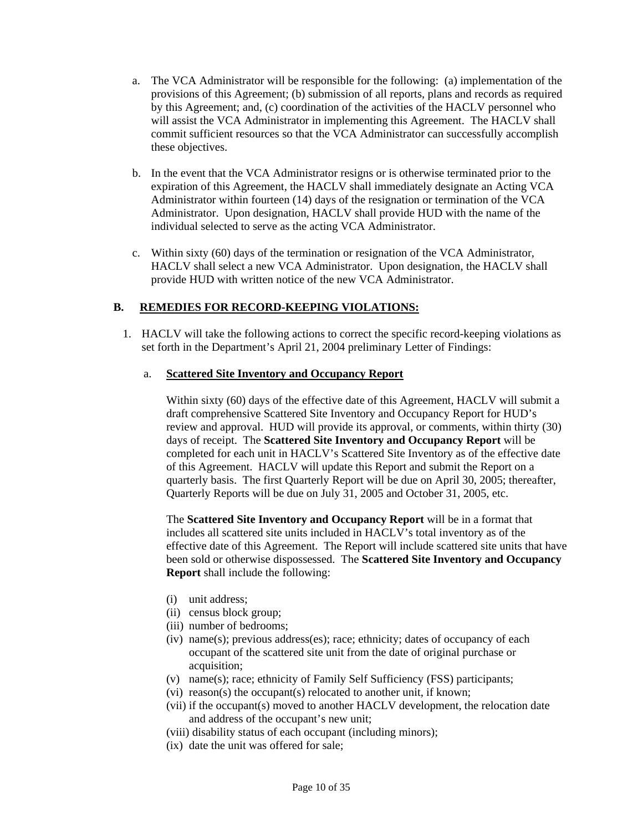- a. The VCA Administrator will be responsible for the following: (a) implementation of the provisions of this Agreement; (b) submission of all reports, plans and records as required by this Agreement; and, (c) coordination of the activities of the HACLV personnel who will assist the VCA Administrator in implementing this Agreement. The HACLV shall commit sufficient resources so that the VCA Administrator can successfully accomplish these objectives.
- b. In the event that the VCA Administrator resigns or is otherwise terminated prior to the expiration of this Agreement, the HACLV shall immediately designate an Acting VCA Administrator within fourteen (14) days of the resignation or termination of the VCA Administrator. Upon designation, HACLV shall provide HUD with the name of the individual selected to serve as the acting VCA Administrator.
- c. Within sixty (60) days of the termination or resignation of the VCA Administrator, HACLV shall select a new VCA Administrator. Upon designation, the HACLV shall provide HUD with written notice of the new VCA Administrator.

### **B. REMEDIES FOR RECORD-KEEPING VIOLATIONS:**

1. HACLV will take the following actions to correct the specific record-keeping violations as set forth in the Department's April 21, 2004 preliminary Letter of Findings:

#### a. **Scattered Site Inventory and Occupancy Report**

Within sixty (60) days of the effective date of this Agreement, HACLV will submit a draft comprehensive Scattered Site Inventory and Occupancy Report for HUD's review and approval. HUD will provide its approval, or comments, within thirty (30) days of receipt. The **Scattered Site Inventory and Occupancy Report** will be completed for each unit in HACLV's Scattered Site Inventory as of the effective date of this Agreement. HACLV will update this Report and submit the Report on a quarterly basis. The first Quarterly Report will be due on April 30, 2005; thereafter, Quarterly Reports will be due on July 31, 2005 and October 31, 2005, etc.

The **Scattered Site Inventory and Occupancy Report** will be in a format that includes all scattered site units included in HACLV's total inventory as of the effective date of this Agreement. The Report will include scattered site units that have been sold or otherwise dispossessed. The **Scattered Site Inventory and Occupancy Report** shall include the following:

- (i) unit address;
- (ii) census block group;
- (iii) number of bedrooms;
- (iv) name(s); previous address(es); race; ethnicity; dates of occupancy of each occupant of the scattered site unit from the date of original purchase or acquisition;
- (v) name(s); race; ethnicity of Family Self Sufficiency (FSS) participants;
- (vi) reason(s) the occupant(s) relocated to another unit, if known;
- (vii) if the occupant(s) moved to another HACLV development, the relocation date and address of the occupant's new unit;
- (viii) disability status of each occupant (including minors);
- (ix) date the unit was offered for sale;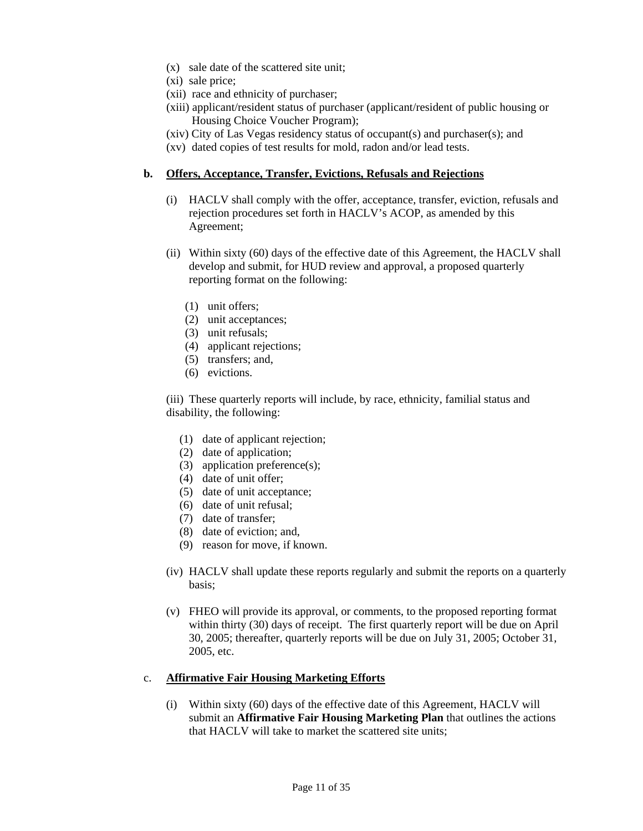- (x) sale date of the scattered site unit;
- (xi) sale price;
- (xii) race and ethnicity of purchaser;
- (xiii) applicant/resident status of purchaser (applicant/resident of public housing or Housing Choice Voucher Program);
- (xiv) City of Las Vegas residency status of occupant(s) and purchaser(s); and
- (xv) dated copies of test results for mold, radon and/or lead tests.

#### **b. Offers, Acceptance, Transfer, Evictions, Refusals and Rejections**

- (i) HACLV shall comply with the offer, acceptance, transfer, eviction, refusals and rejection procedures set forth in HACLV's ACOP, as amended by this Agreement;
- (ii) Within sixty (60) days of the effective date of this Agreement, the HACLV shall develop and submit, for HUD review and approval, a proposed quarterly reporting format on the following:
	- (1) unit offers;
	- (2) unit acceptances;
	- (3) unit refusals;
	- (4) applicant rejections;
	- (5) transfers; and,
	- (6) evictions.

(iii) These quarterly reports will include, by race, ethnicity, familial status and disability, the following:

- (1) date of applicant rejection;
- (2) date of application;
- (3) application preference(s);
- (4) date of unit offer;
- (5) date of unit acceptance;
- (6) date of unit refusal;
- (7) date of transfer;
- (8) date of eviction; and,
- (9) reason for move, if known.
- (iv) HACLV shall update these reports regularly and submit the reports on a quarterly basis;
- (v) FHEO will provide its approval, or comments, to the proposed reporting format within thirty (30) days of receipt. The first quarterly report will be due on April 30, 2005; thereafter, quarterly reports will be due on July 31, 2005; October 31, 2005, etc.

#### c. **Affirmative Fair Housing Marketing Efforts**

(i) Within sixty (60) days of the effective date of this Agreement, HACLV will submit an **Affirmative Fair Housing Marketing Plan** that outlines the actions that HACLV will take to market the scattered site units;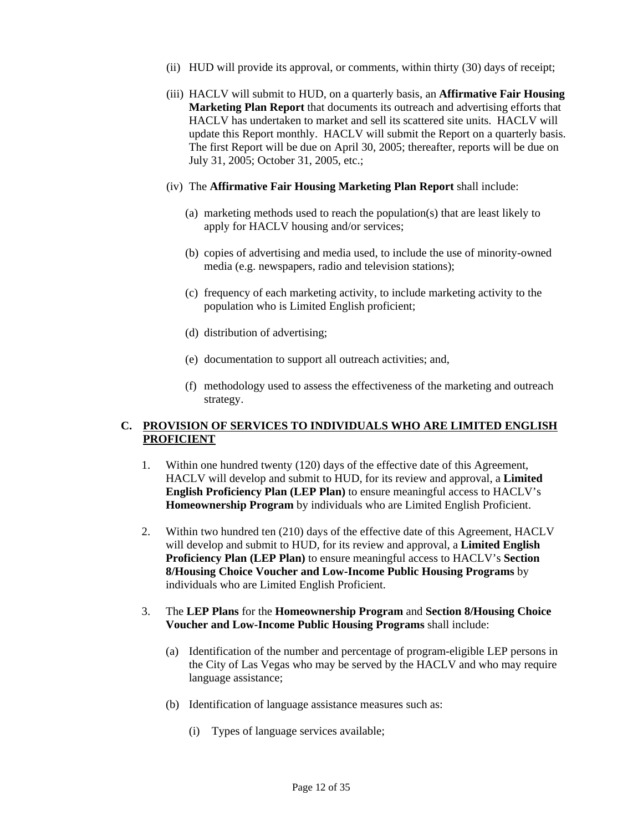- (ii) HUD will provide its approval, or comments, within thirty (30) days of receipt;
- (iii) HACLV will submit to HUD, on a quarterly basis, an **Affirmative Fair Housing Marketing Plan Report** that documents its outreach and advertising efforts that HACLV has undertaken to market and sell its scattered site units. HACLV will update this Report monthly. HACLV will submit the Report on a quarterly basis. The first Report will be due on April 30, 2005; thereafter, reports will be due on July 31, 2005; October 31, 2005, etc.;
- (iv) The **Affirmative Fair Housing Marketing Plan Report** shall include:
	- (a) marketing methods used to reach the population(s) that are least likely to apply for HACLV housing and/or services;
	- (b) copies of advertising and media used, to include the use of minority-owned media (e.g. newspapers, radio and television stations);
	- (c) frequency of each marketing activity, to include marketing activity to the population who is Limited English proficient;
	- (d) distribution of advertising;
	- (e) documentation to support all outreach activities; and,
	- (f) methodology used to assess the effectiveness of the marketing and outreach strategy.

### **C. PROVISION OF SERVICES TO INDIVIDUALS WHO ARE LIMITED ENGLISH PROFICIENT**

- 1. Within one hundred twenty (120) days of the effective date of this Agreement, HACLV will develop and submit to HUD, for its review and approval, a **Limited English Proficiency Plan (LEP Plan)** to ensure meaningful access to HACLV's **Homeownership Program** by individuals who are Limited English Proficient.
- 2. Within two hundred ten (210) days of the effective date of this Agreement, HACLV will develop and submit to HUD, for its review and approval, a **Limited English Proficiency Plan (LEP Plan)** to ensure meaningful access to HACLV's **Section 8/Housing Choice Voucher and Low-Income Public Housing Programs** by individuals who are Limited English Proficient.
- 3. The **LEP Plans** for the **Homeownership Program** and **Section 8/Housing Choice Voucher and Low-Income Public Housing Programs** shall include:
	- (a) Identification of the number and percentage of program-eligible LEP persons in the City of Las Vegas who may be served by the HACLV and who may require language assistance;
	- (b) Identification of language assistance measures such as:
		- (i) Types of language services available;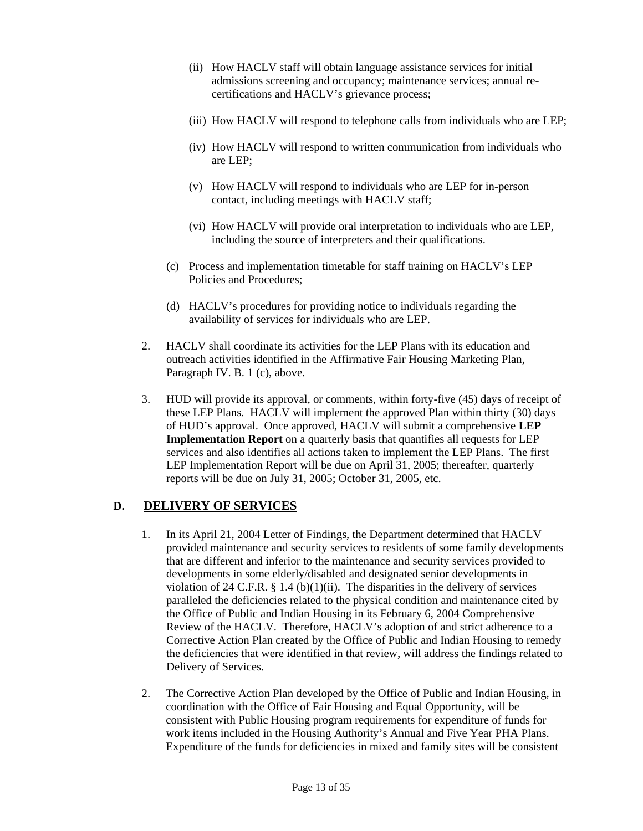- (ii) How HACLV staff will obtain language assistance services for initial admissions screening and occupancy; maintenance services; annual recertifications and HACLV's grievance process;
- (iii) How HACLV will respond to telephone calls from individuals who are LEP;
- (iv) How HACLV will respond to written communication from individuals who are LEP;
- (v) How HACLV will respond to individuals who are LEP for in-person contact, including meetings with HACLV staff;
- (vi) How HACLV will provide oral interpretation to individuals who are LEP, including the source of interpreters and their qualifications.
- (c) Process and implementation timetable for staff training on HACLV's LEP Policies and Procedures;
- (d) HACLV's procedures for providing notice to individuals regarding the availability of services for individuals who are LEP.
- 2. HACLV shall coordinate its activities for the LEP Plans with its education and outreach activities identified in the Affirmative Fair Housing Marketing Plan, Paragraph IV. B. 1 (c), above.
- 3. HUD will provide its approval, or comments, within forty-five (45) days of receipt of these LEP Plans. HACLV will implement the approved Plan within thirty (30) days of HUD's approval. Once approved, HACLV will submit a comprehensive **LEP Implementation Report** on a quarterly basis that quantifies all requests for LEP services and also identifies all actions taken to implement the LEP Plans. The first LEP Implementation Report will be due on April 31, 2005; thereafter, quarterly reports will be due on July 31, 2005; October 31, 2005, etc.

# **D. DELIVERY OF SERVICES**

- 1. In its April 21, 2004 Letter of Findings, the Department determined that HACLV provided maintenance and security services to residents of some family developments that are different and inferior to the maintenance and security services provided to developments in some elderly/disabled and designated senior developments in violation of 24 C.F.R.  $\S$  1.4 (b)(1)(ii). The disparities in the delivery of services paralleled the deficiencies related to the physical condition and maintenance cited by the Office of Public and Indian Housing in its February 6, 2004 Comprehensive Review of the HACLV. Therefore, HACLV's adoption of and strict adherence to a Corrective Action Plan created by the Office of Public and Indian Housing to remedy the deficiencies that were identified in that review, will address the findings related to Delivery of Services.
- 2. The Corrective Action Plan developed by the Office of Public and Indian Housing, in coordination with the Office of Fair Housing and Equal Opportunity, will be consistent with Public Housing program requirements for expenditure of funds for work items included in the Housing Authority's Annual and Five Year PHA Plans. Expenditure of the funds for deficiencies in mixed and family sites will be consistent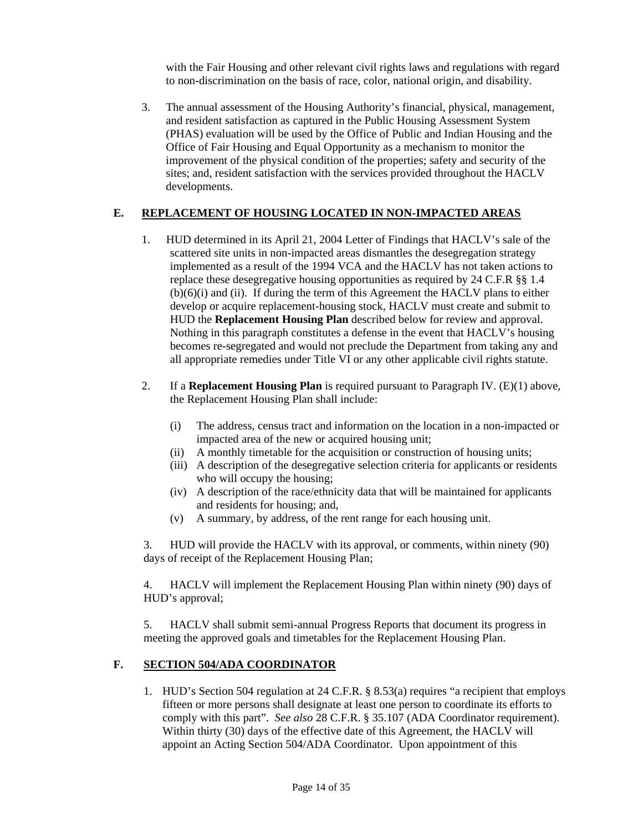with the Fair Housing and other relevant civil rights laws and regulations with regard to non-discrimination on the basis of race, color, national origin, and disability.

3. The annual assessment of the Housing Authority's financial, physical, management, and resident satisfaction as captured in the Public Housing Assessment System (PHAS) evaluation will be used by the Office of Public and Indian Housing and the Office of Fair Housing and Equal Opportunity as a mechanism to monitor the improvement of the physical condition of the properties; safety and security of the sites; and, resident satisfaction with the services provided throughout the HACLV developments.

### **E. REPLACEMENT OF HOUSING LOCATED IN NON-IMPACTED AREAS**

- 1. HUD determined in its April 21, 2004 Letter of Findings that HACLV's sale of the scattered site units in non-impacted areas dismantles the desegregation strategy implemented as a result of the 1994 VCA and the HACLV has not taken actions to replace these desegregative housing opportunities as required by 24 C.F.R §§ 1.4  $(b)(6)(i)$  and  $(ii)$ . If during the term of this Agreement the HACLV plans to either develop or acquire replacement-housing stock, HACLV must create and submit to HUD the **Replacement Housing Plan** described below for review and approval. Nothing in this paragraph constitutes a defense in the event that HACLV's housing becomes re-segregated and would not preclude the Department from taking any and all appropriate remedies under Title VI or any other applicable civil rights statute.
- 2. If a **Replacement Housing Plan** is required pursuant to Paragraph IV. (E)(1) above, the Replacement Housing Plan shall include:
	- (i) The address, census tract and information on the location in a non-impacted or impacted area of the new or acquired housing unit;
	- (ii) A monthly timetable for the acquisition or construction of housing units;
	- (iii) A description of the desegregative selection criteria for applicants or residents who will occupy the housing;
	- (iv) A description of the race/ethnicity data that will be maintained for applicants and residents for housing; and,
	- (v) A summary, by address, of the rent range for each housing unit.

3. HUD will provide the HACLV with its approval, or comments, within ninety (90) days of receipt of the Replacement Housing Plan;

4. HACLV will implement the Replacement Housing Plan within ninety (90) days of HUD's approval;

5. HACLV shall submit semi-annual Progress Reports that document its progress in meeting the approved goals and timetables for the Replacement Housing Plan.

#### **F. SECTION 504/ADA COORDINATOR**

1. HUD's Section 504 regulation at 24 C.F.R. § 8.53(a) requires "a recipient that employs fifteen or more persons shall designate at least one person to coordinate its efforts to comply with this part". *See also* 28 C.F.R. § 35.107 (ADA Coordinator requirement). Within thirty (30) days of the effective date of this Agreement, the HACLV will appoint an Acting Section 504/ADA Coordinator. Upon appointment of this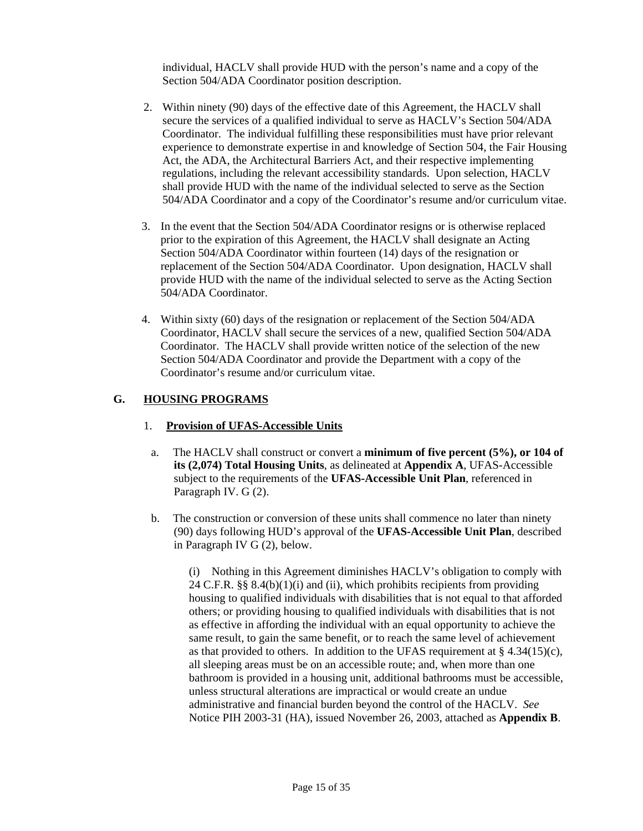individual, HACLV shall provide HUD with the person's name and a copy of the Section 504/ADA Coordinator position description.

- 2. Within ninety (90) days of the effective date of this Agreement, the HACLV shall secure the services of a qualified individual to serve as HACLV's Section 504/ADA Coordinator. The individual fulfilling these responsibilities must have prior relevant experience to demonstrate expertise in and knowledge of Section 504, the Fair Housing Act, the ADA, the Architectural Barriers Act, and their respective implementing regulations, including the relevant accessibility standards. Upon selection, HACLV shall provide HUD with the name of the individual selected to serve as the Section 504/ADA Coordinator and a copy of the Coordinator's resume and/or curriculum vitae.
- 3. In the event that the Section 504/ADA Coordinator resigns or is otherwise replaced prior to the expiration of this Agreement, the HACLV shall designate an Acting Section 504/ADA Coordinator within fourteen (14) days of the resignation or replacement of the Section 504/ADA Coordinator. Upon designation, HACLV shall provide HUD with the name of the individual selected to serve as the Acting Section 504/ADA Coordinator.
- 4. Within sixty (60) days of the resignation or replacement of the Section 504/ADA Coordinator, HACLV shall secure the services of a new, qualified Section 504/ADA Coordinator. The HACLV shall provide written notice of the selection of the new Section 504/ADA Coordinator and provide the Department with a copy of the Coordinator's resume and/or curriculum vitae.

### **G. HOUSING PROGRAMS**

#### 1. **Provision of UFAS-Accessible Units**

- a. The HACLV shall construct or convert a **minimum of five percent (5%), or 104 of its (2,074) Total Housing Units**, as delineated at **Appendix A**, UFAS-Accessible subject to the requirements of the **UFAS-Accessible Unit Plan**, referenced in Paragraph IV. G (2).
- b. The construction or conversion of these units shall commence no later than ninety (90) days following HUD's approval of the **UFAS-Accessible Unit Plan**, described in Paragraph IV G (2), below.

(i) Nothing in this Agreement diminishes HACLV's obligation to comply with 24 C.F.R.  $\S$ § 8.4(b)(1)(i) and (ii), which prohibits recipients from providing housing to qualified individuals with disabilities that is not equal to that afforded others; or providing housing to qualified individuals with disabilities that is not as effective in affording the individual with an equal opportunity to achieve the same result, to gain the same benefit, or to reach the same level of achievement as that provided to others. In addition to the UFAS requirement at  $\S$  4.34(15)(c), all sleeping areas must be on an accessible route; and, when more than one bathroom is provided in a housing unit, additional bathrooms must be accessible, unless structural alterations are impractical or would create an undue administrative and financial burden beyond the control of the HACLV. *See* Notice PIH 2003-31 (HA), issued November 26, 2003, attached as **Appendix B**.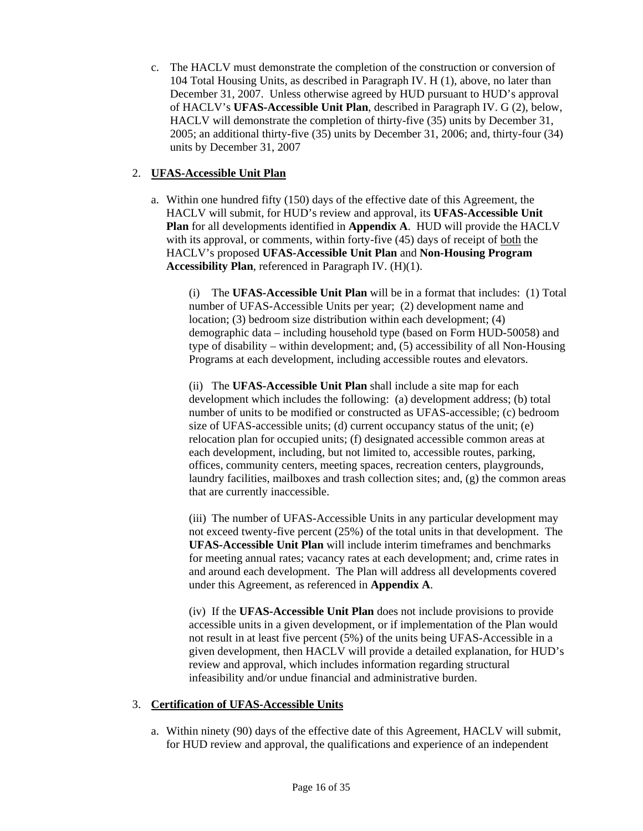c. The HACLV must demonstrate the completion of the construction or conversion of 104 Total Housing Units, as described in Paragraph IV. H (1), above, no later than December 31, 2007. Unless otherwise agreed by HUD pursuant to HUD's approval of HACLV's **UFAS-Accessible Unit Plan**, described in Paragraph IV. G (2), below, HACLV will demonstrate the completion of thirty-five (35) units by December 31, 2005; an additional thirty-five (35) units by December 31, 2006; and, thirty-four (34) units by December 31, 2007

### 2. **UFAS-Accessible Unit Plan**

a. Within one hundred fifty (150) days of the effective date of this Agreement, the HACLV will submit, for HUD's review and approval, its **UFAS-Accessible Unit Plan** for all developments identified in **Appendix A**. HUD will provide the HACLV with its approval, or comments, within forty-five (45) days of receipt of both the HACLV's proposed **UFAS-Accessible Unit Plan** and **Non-Housing Program Accessibility Plan**, referenced in Paragraph IV. (H)(1).

 (i) The **UFAS-Accessible Unit Plan** will be in a format that includes: (1) Total number of UFAS-Accessible Units per year; (2) development name and location; (3) bedroom size distribution within each development; (4) demographic data – including household type (based on Form HUD-50058) and type of disability – within development; and, (5) accessibility of all Non-Housing Programs at each development, including accessible routes and elevators.

(ii) The **UFAS-Accessible Unit Plan** shall include a site map for each development which includes the following: (a) development address; (b) total number of units to be modified or constructed as UFAS-accessible; (c) bedroom size of UFAS-accessible units; (d) current occupancy status of the unit; (e) relocation plan for occupied units; (f) designated accessible common areas at each development, including, but not limited to, accessible routes, parking, offices, community centers, meeting spaces, recreation centers, playgrounds, laundry facilities, mailboxes and trash collection sites; and, (g) the common areas that are currently inaccessible.

(iii) The number of UFAS-Accessible Units in any particular development may not exceed twenty-five percent (25%) of the total units in that development. The **UFAS-Accessible Unit Plan** will include interim timeframes and benchmarks for meeting annual rates; vacancy rates at each development; and, crime rates in and around each development. The Plan will address all developments covered under this Agreement, as referenced in **Appendix A**.

(iv) If the **UFAS-Accessible Unit Plan** does not include provisions to provide accessible units in a given development, or if implementation of the Plan would not result in at least five percent (5%) of the units being UFAS-Accessible in a given development, then HACLV will provide a detailed explanation, for HUD's review and approval, which includes information regarding structural infeasibility and/or undue financial and administrative burden.

### 3. **Certification of UFAS-Accessible Units**

a. Within ninety (90) days of the effective date of this Agreement, HACLV will submit, for HUD review and approval, the qualifications and experience of an independent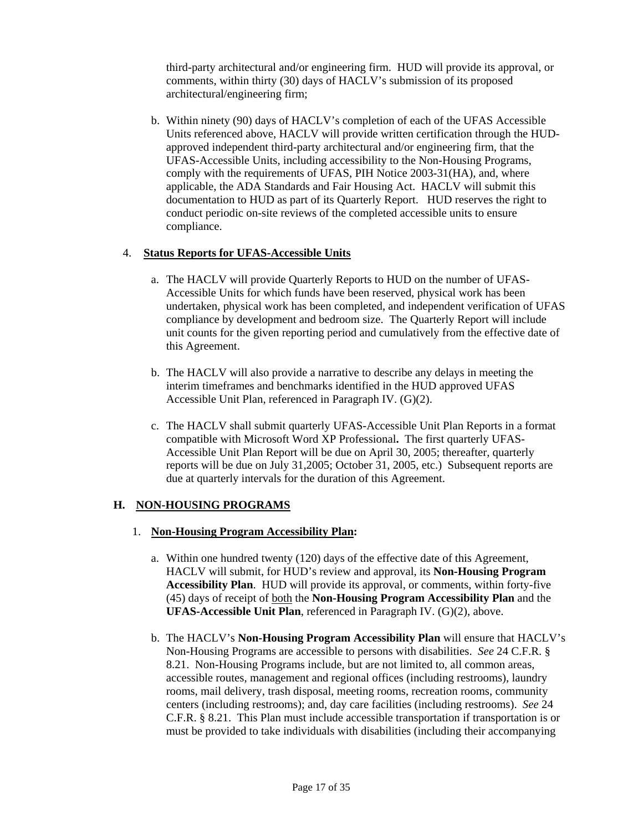third-party architectural and/or engineering firm. HUD will provide its approval, or comments, within thirty (30) days of HACLV's submission of its proposed architectural/engineering firm;

b. Within ninety (90) days of HACLV's completion of each of the UFAS Accessible Units referenced above, HACLV will provide written certification through the HUDapproved independent third-party architectural and/or engineering firm, that the UFAS-Accessible Units, including accessibility to the Non-Housing Programs, comply with the requirements of UFAS, PIH Notice 2003-31(HA), and, where applicable, the ADA Standards and Fair Housing Act. HACLV will submit this documentation to HUD as part of its Quarterly Report. HUD reserves the right to conduct periodic on-site reviews of the completed accessible units to ensure compliance.

#### 4. **Status Reports for UFAS-Accessible Units**

- a. The HACLV will provide Quarterly Reports to HUD on the number of UFAS-Accessible Units for which funds have been reserved, physical work has been undertaken, physical work has been completed, and independent verification of UFAS compliance by development and bedroom size. The Quarterly Report will include unit counts for the given reporting period and cumulatively from the effective date of this Agreement.
- b. The HACLV will also provide a narrative to describe any delays in meeting the interim timeframes and benchmarks identified in the HUD approved UFAS Accessible Unit Plan, referenced in Paragraph IV. (G)(2).
- c. The HACLV shall submit quarterly UFAS-Accessible Unit Plan Reports in a format compatible with Microsoft Word XP Professional**.** The first quarterly UFAS-Accessible Unit Plan Report will be due on April 30, 2005; thereafter, quarterly reports will be due on July 31,2005; October 31, 2005, etc.) Subsequent reports are due at quarterly intervals for the duration of this Agreement.

### **H. NON-HOUSING PROGRAMS**

- 1. **Non-Housing Program Accessibility Plan:** 
	- a. Within one hundred twenty (120) days of the effective date of this Agreement, HACLV will submit, for HUD's review and approval, its **Non-Housing Program Accessibility Plan**. HUD will provide its approval, or comments, within forty-five (45) days of receipt of both the **Non-Housing Program Accessibility Plan** and the **UFAS-Accessible Unit Plan**, referenced in Paragraph IV. (G)(2), above.
	- b. The HACLV's **Non-Housing Program Accessibility Plan** will ensure that HACLV's Non-Housing Programs are accessible to persons with disabilities. *See* 24 C.F.R. § 8.21. Non-Housing Programs include, but are not limited to, all common areas, accessible routes, management and regional offices (including restrooms), laundry rooms, mail delivery, trash disposal, meeting rooms, recreation rooms, community centers (including restrooms); and, day care facilities (including restrooms). *See* 24 C.F.R. § 8.21. This Plan must include accessible transportation if transportation is or must be provided to take individuals with disabilities (including their accompanying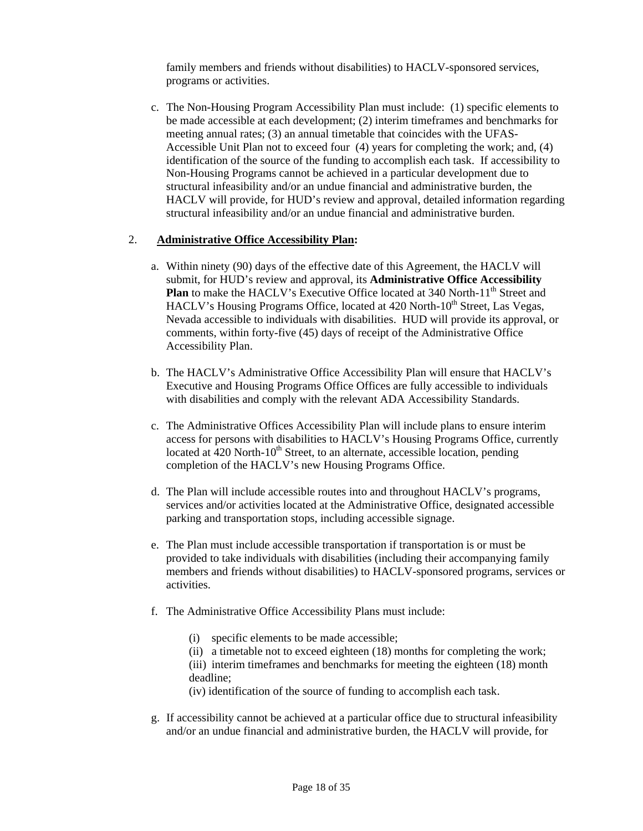family members and friends without disabilities) to HACLV-sponsored services, programs or activities.

c. The Non-Housing Program Accessibility Plan must include: (1) specific elements to be made accessible at each development; (2) interim timeframes and benchmarks for meeting annual rates; (3) an annual timetable that coincides with the UFAS-Accessible Unit Plan not to exceed four (4) years for completing the work; and, (4) identification of the source of the funding to accomplish each task. If accessibility to Non-Housing Programs cannot be achieved in a particular development due to structural infeasibility and/or an undue financial and administrative burden, the HACLV will provide, for HUD's review and approval, detailed information regarding structural infeasibility and/or an undue financial and administrative burden.

#### 2. **Administrative Office Accessibility Plan:**

- a. Within ninety (90) days of the effective date of this Agreement, the HACLV will submit, for HUD's review and approval, its **Administrative Office Accessibility Plan** to make the HACLV's Executive Office located at 340 North-11<sup>th</sup> Street and HACLV's Housing Programs Office, located at 420 North-10<sup>th</sup> Street, Las Vegas, Nevada accessible to individuals with disabilities. HUD will provide its approval, or comments, within forty-five (45) days of receipt of the Administrative Office Accessibility Plan.
- b. The HACLV's Administrative Office Accessibility Plan will ensure that HACLV's Executive and Housing Programs Office Offices are fully accessible to individuals with disabilities and comply with the relevant ADA Accessibility Standards.
- c. The Administrative Offices Accessibility Plan will include plans to ensure interim access for persons with disabilities to HACLV's Housing Programs Office, currently located at  $420$  North- $10<sup>th</sup>$  Street, to an alternate, accessible location, pending completion of the HACLV's new Housing Programs Office.
- d. The Plan will include accessible routes into and throughout HACLV's programs, services and/or activities located at the Administrative Office, designated accessible parking and transportation stops, including accessible signage.
- e. The Plan must include accessible transportation if transportation is or must be provided to take individuals with disabilities (including their accompanying family members and friends without disabilities) to HACLV-sponsored programs, services or activities.
- f. The Administrative Office Accessibility Plans must include:
	- (i) specific elements to be made accessible;
	- (ii) a timetable not to exceed eighteen (18) months for completing the work;
	- (iii) interim timeframes and benchmarks for meeting the eighteen (18) month deadline;
	- (iv) identification of the source of funding to accomplish each task.
- g. If accessibility cannot be achieved at a particular office due to structural infeasibility and/or an undue financial and administrative burden, the HACLV will provide, for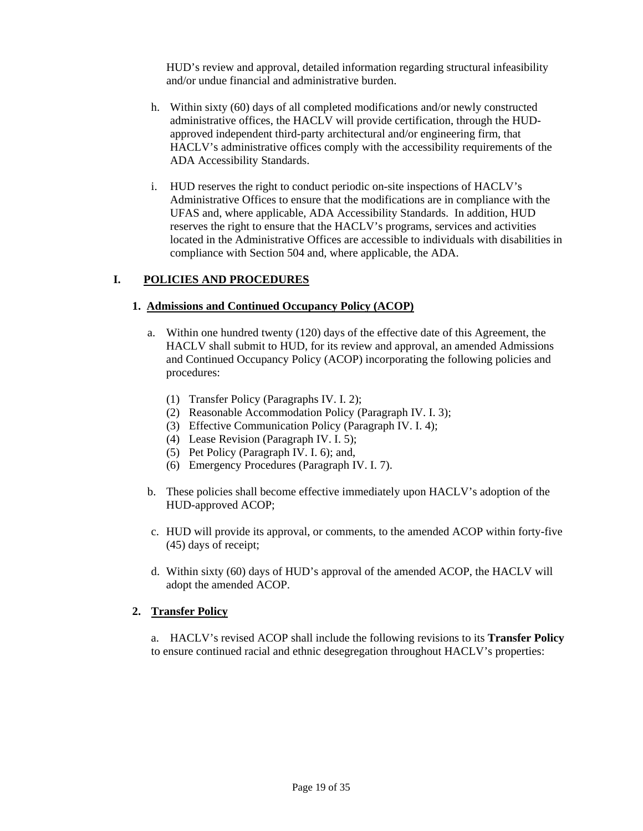HUD's review and approval, detailed information regarding structural infeasibility and/or undue financial and administrative burden.

- h. Within sixty (60) days of all completed modifications and/or newly constructed administrative offices, the HACLV will provide certification, through the HUDapproved independent third-party architectural and/or engineering firm, that HACLV's administrative offices comply with the accessibility requirements of the ADA Accessibility Standards.
- i. HUD reserves the right to conduct periodic on-site inspections of HACLV's Administrative Offices to ensure that the modifications are in compliance with the UFAS and, where applicable, ADA Accessibility Standards. In addition, HUD reserves the right to ensure that the HACLV's programs, services and activities located in the Administrative Offices are accessible to individuals with disabilities in compliance with Section 504 and, where applicable, the ADA.

### **I. POLICIES AND PROCEDURES**

#### **1. Admissions and Continued Occupancy Policy (ACOP)**

- a. Within one hundred twenty (120) days of the effective date of this Agreement, the HACLV shall submit to HUD, for its review and approval, an amended Admissions and Continued Occupancy Policy (ACOP) incorporating the following policies and procedures:
	- (1) Transfer Policy (Paragraphs IV. I. 2);
	- (2) Reasonable Accommodation Policy (Paragraph IV. I. 3);
	- (3) Effective Communication Policy (Paragraph IV. I. 4);
	- (4) Lease Revision (Paragraph IV. I. 5);
	- (5) Pet Policy (Paragraph IV. I. 6); and,
	- (6) Emergency Procedures (Paragraph IV. I. 7).
- b. These policies shall become effective immediately upon HACLV's adoption of the HUD-approved ACOP;
- c. HUD will provide its approval, or comments, to the amended ACOP within forty-five (45) days of receipt;
- d. Within sixty (60) days of HUD's approval of the amended ACOP, the HACLV will adopt the amended ACOP.

#### **2. Transfer Policy**

a. HACLV's revised ACOP shall include the following revisions to its **Transfer Policy**  to ensure continued racial and ethnic desegregation throughout HACLV's properties: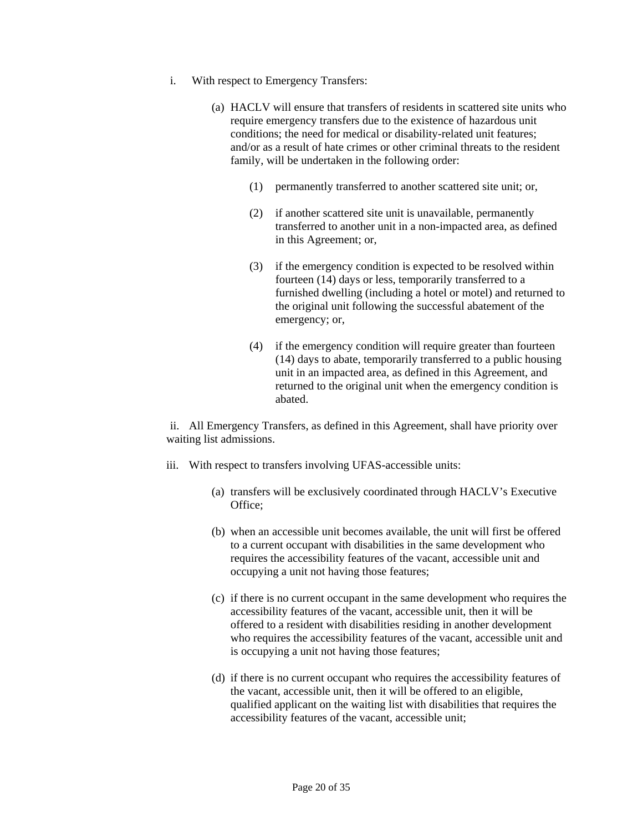- i. With respect to Emergency Transfers:
	- (a) HACLV will ensure that transfers of residents in scattered site units who require emergency transfers due to the existence of hazardous unit conditions; the need for medical or disability-related unit features; and/or as a result of hate crimes or other criminal threats to the resident family, will be undertaken in the following order:
		- (1) permanently transferred to another scattered site unit; or,
		- (2) if another scattered site unit is unavailable, permanently transferred to another unit in a non-impacted area, as defined in this Agreement; or,
		- (3) if the emergency condition is expected to be resolved within fourteen (14) days or less, temporarily transferred to a furnished dwelling (including a hotel or motel) and returned to the original unit following the successful abatement of the emergency; or,
		- (4) if the emergency condition will require greater than fourteen (14) days to abate, temporarily transferred to a public housing unit in an impacted area, as defined in this Agreement, and returned to the original unit when the emergency condition is abated.

ii. All Emergency Transfers, as defined in this Agreement, shall have priority over waiting list admissions.

- iii. With respect to transfers involving UFAS-accessible units:
	- (a) transfers will be exclusively coordinated through HACLV's Executive Office;
	- (b) when an accessible unit becomes available, the unit will first be offered to a current occupant with disabilities in the same development who requires the accessibility features of the vacant, accessible unit and occupying a unit not having those features;
	- (c) if there is no current occupant in the same development who requires the accessibility features of the vacant, accessible unit, then it will be offered to a resident with disabilities residing in another development who requires the accessibility features of the vacant, accessible unit and is occupying a unit not having those features;
	- (d) if there is no current occupant who requires the accessibility features of the vacant, accessible unit, then it will be offered to an eligible, qualified applicant on the waiting list with disabilities that requires the accessibility features of the vacant, accessible unit;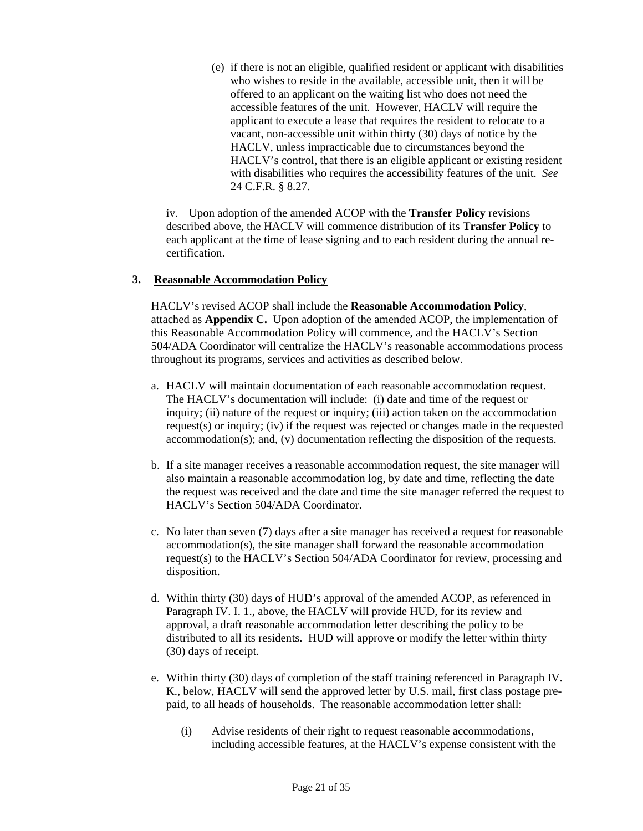(e) if there is not an eligible, qualified resident or applicant with disabilities who wishes to reside in the available, accessible unit, then it will be offered to an applicant on the waiting list who does not need the accessible features of the unit. However, HACLV will require the applicant to execute a lease that requires the resident to relocate to a vacant, non-accessible unit within thirty (30) days of notice by the HACLV, unless impracticable due to circumstances beyond the HACLV's control, that there is an eligible applicant or existing resident with disabilities who requires the accessibility features of the unit. *See*  24 C.F.R. § 8.27.

iv. Upon adoption of the amended ACOP with the **Transfer Policy** revisions described above, the HACLV will commence distribution of its **Transfer Policy** to each applicant at the time of lease signing and to each resident during the annual recertification.

#### **3. Reasonable Accommodation Policy**

HACLV's revised ACOP shall include the **Reasonable Accommodation Policy**, attached as **Appendix C.** Upon adoption of the amended ACOP, the implementation of this Reasonable Accommodation Policy will commence, and the HACLV's Section 504/ADA Coordinator will centralize the HACLV's reasonable accommodations process throughout its programs, services and activities as described below.

- a. HACLV will maintain documentation of each reasonable accommodation request. The HACLV's documentation will include: (i) date and time of the request or inquiry; (ii) nature of the request or inquiry; (iii) action taken on the accommodation request(s) or inquiry; (iv) if the request was rejected or changes made in the requested accommodation(s); and, (v) documentation reflecting the disposition of the requests.
- b. If a site manager receives a reasonable accommodation request, the site manager will also maintain a reasonable accommodation log, by date and time, reflecting the date the request was received and the date and time the site manager referred the request to HACLV's Section 504/ADA Coordinator.
- c. No later than seven (7) days after a site manager has received a request for reasonable accommodation(s), the site manager shall forward the reasonable accommodation request(s) to the HACLV's Section 504/ADA Coordinator for review, processing and disposition.
- d. Within thirty (30) days of HUD's approval of the amended ACOP, as referenced in Paragraph IV. I. 1., above, the HACLV will provide HUD, for its review and approval, a draft reasonable accommodation letter describing the policy to be distributed to all its residents. HUD will approve or modify the letter within thirty (30) days of receipt.
- e. Within thirty (30) days of completion of the staff training referenced in Paragraph IV. K., below, HACLV will send the approved letter by U.S. mail, first class postage prepaid, to all heads of households. The reasonable accommodation letter shall:
	- (i) Advise residents of their right to request reasonable accommodations, including accessible features, at the HACLV's expense consistent with the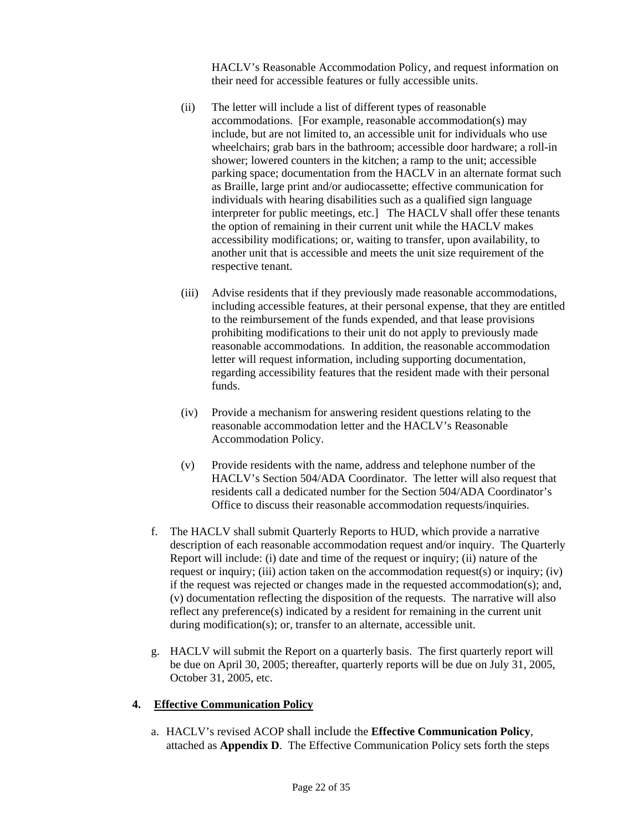HACLV's Reasonable Accommodation Policy, and request information on their need for accessible features or fully accessible units.

- (ii) The letter will include a list of different types of reasonable accommodations. [For example, reasonable accommodation(s) may include, but are not limited to, an accessible unit for individuals who use wheelchairs; grab bars in the bathroom; accessible door hardware; a roll-in shower; lowered counters in the kitchen; a ramp to the unit; accessible parking space; documentation from the HACLV in an alternate format such as Braille, large print and/or audiocassette; effective communication for individuals with hearing disabilities such as a qualified sign language interpreter for public meetings, etc.] The HACLV shall offer these tenants the option of remaining in their current unit while the HACLV makes accessibility modifications; or, waiting to transfer, upon availability, to another unit that is accessible and meets the unit size requirement of the respective tenant.
- (iii) Advise residents that if they previously made reasonable accommodations, including accessible features, at their personal expense, that they are entitled to the reimbursement of the funds expended, and that lease provisions prohibiting modifications to their unit do not apply to previously made reasonable accommodations. In addition, the reasonable accommodation letter will request information, including supporting documentation, regarding accessibility features that the resident made with their personal funds.
- (iv) Provide a mechanism for answering resident questions relating to the reasonable accommodation letter and the HACLV's Reasonable Accommodation Policy.
- (v) Provide residents with the name, address and telephone number of the HACLV's Section 504/ADA Coordinator. The letter will also request that residents call a dedicated number for the Section 504/ADA Coordinator's Office to discuss their reasonable accommodation requests/inquiries.
- f. The HACLV shall submit Quarterly Reports to HUD, which provide a narrative description of each reasonable accommodation request and/or inquiry. The Quarterly Report will include: (i) date and time of the request or inquiry; (ii) nature of the request or inquiry; (iii) action taken on the accommodation request(s) or inquiry; (iv) if the request was rejected or changes made in the requested accommodation(s); and, (v) documentation reflecting the disposition of the requests. The narrative will also reflect any preference(s) indicated by a resident for remaining in the current unit during modification(s); or, transfer to an alternate, accessible unit.
- g. HACLV will submit the Report on a quarterly basis. The first quarterly report will be due on April 30, 2005; thereafter, quarterly reports will be due on July 31, 2005, October 31, 2005, etc.

### **4. Effective Communication Policy**

a. HACLV's revised ACOP shall include the **Effective Communication Policy**, attached as **Appendix D**. The Effective Communication Policy sets forth the steps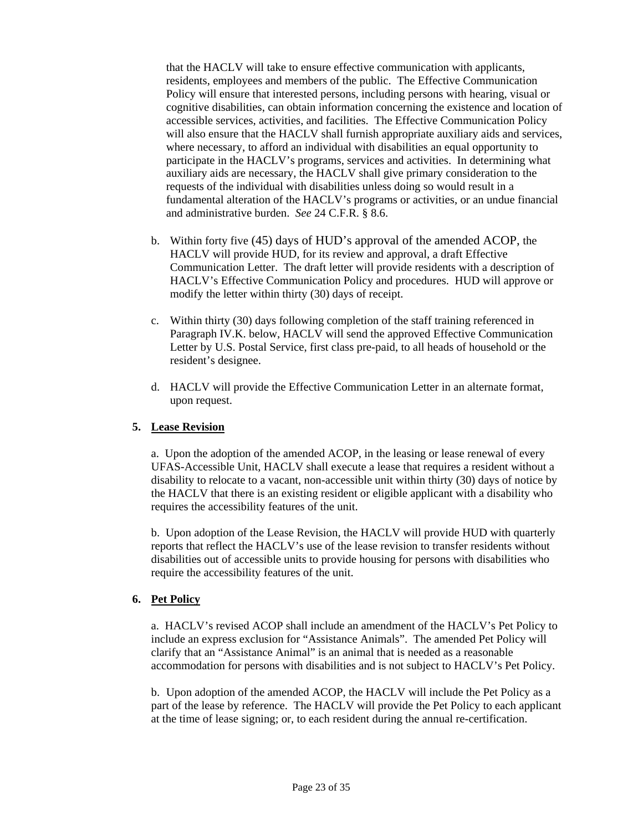that the HACLV will take to ensure effective communication with applicants, residents, employees and members of the public. The Effective Communication Policy will ensure that interested persons, including persons with hearing, visual or cognitive disabilities, can obtain information concerning the existence and location of accessible services, activities, and facilities. The Effective Communication Policy will also ensure that the HACLV shall furnish appropriate auxiliary aids and services, where necessary, to afford an individual with disabilities an equal opportunity to participate in the HACLV's programs, services and activities. In determining what auxiliary aids are necessary, the HACLV shall give primary consideration to the requests of the individual with disabilities unless doing so would result in a fundamental alteration of the HACLV's programs or activities, or an undue financial and administrative burden. *See* 24 C.F.R. § 8.6.

- b. Within forty five (45) days of HUD's approval of the amended ACOP, the HACLV will provide HUD, for its review and approval, a draft Effective Communication Letter. The draft letter will provide residents with a description of HACLV's Effective Communication Policy and procedures. HUD will approve or modify the letter within thirty (30) days of receipt.
- c. Within thirty (30) days following completion of the staff training referenced in Paragraph IV.K. below, HACLV will send the approved Effective Communication Letter by U.S. Postal Service, first class pre-paid, to all heads of household or the resident's designee.
- d. HACLV will provide the Effective Communication Letter in an alternate format, upon request.

### **5. Lease Revision**

a. Upon the adoption of the amended ACOP, in the leasing or lease renewal of every UFAS-Accessible Unit, HACLV shall execute a lease that requires a resident without a disability to relocate to a vacant, non-accessible unit within thirty (30) days of notice by the HACLV that there is an existing resident or eligible applicant with a disability who requires the accessibility features of the unit.

b. Upon adoption of the Lease Revision, the HACLV will provide HUD with quarterly reports that reflect the HACLV's use of the lease revision to transfer residents without disabilities out of accessible units to provide housing for persons with disabilities who require the accessibility features of the unit.

#### **6. Pet Policy**

a. HACLV's revised ACOP shall include an amendment of the HACLV's Pet Policy to include an express exclusion for "Assistance Animals". The amended Pet Policy will clarify that an "Assistance Animal" is an animal that is needed as a reasonable accommodation for persons with disabilities and is not subject to HACLV's Pet Policy.

b. Upon adoption of the amended ACOP, the HACLV will include the Pet Policy as a part of the lease by reference. The HACLV will provide the Pet Policy to each applicant at the time of lease signing; or, to each resident during the annual re-certification.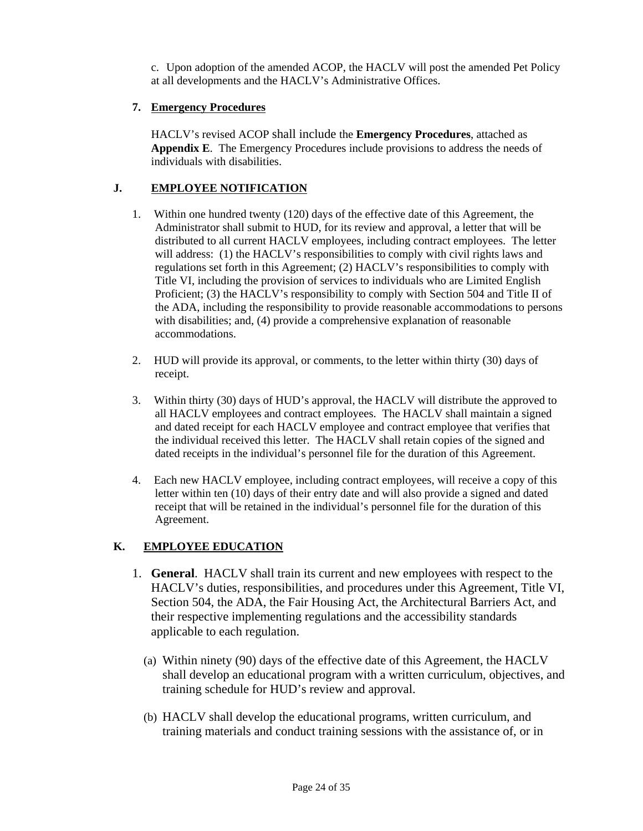c. Upon adoption of the amended ACOP, the HACLV will post the amended Pet Policy at all developments and the HACLV's Administrative Offices.

### **7. Emergency Procedures**

HACLV's revised ACOP shall include the **Emergency Procedures**, attached as **Appendix E**. The Emergency Procedures include provisions to address the needs of individuals with disabilities.

# **J. EMPLOYEE NOTIFICATION**

- 1. Within one hundred twenty (120) days of the effective date of this Agreement, the Administrator shall submit to HUD, for its review and approval, a letter that will be distributed to all current HACLV employees, including contract employees. The letter will address: (1) the HACLV's responsibilities to comply with civil rights laws and regulations set forth in this Agreement; (2) HACLV's responsibilities to comply with Title VI, including the provision of services to individuals who are Limited English Proficient; (3) the HACLV's responsibility to comply with Section 504 and Title II of the ADA, including the responsibility to provide reasonable accommodations to persons with disabilities; and, (4) provide a comprehensive explanation of reasonable accommodations.
- 2. HUD will provide its approval, or comments, to the letter within thirty (30) days of receipt.
- 3. Within thirty (30) days of HUD's approval, the HACLV will distribute the approved to all HACLV employees and contract employees. The HACLV shall maintain a signed and dated receipt for each HACLV employee and contract employee that verifies that the individual received this letter. The HACLV shall retain copies of the signed and dated receipts in the individual's personnel file for the duration of this Agreement.
- 4. Each new HACLV employee, including contract employees, will receive a copy of this letter within ten (10) days of their entry date and will also provide a signed and dated receipt that will be retained in the individual's personnel file for the duration of this Agreement.

### **K. EMPLOYEE EDUCATION**

- 1. **General**. HACLV shall train its current and new employees with respect to the HACLV's duties, responsibilities, and procedures under this Agreement, Title VI, Section 504, the ADA, the Fair Housing Act, the Architectural Barriers Act, and their respective implementing regulations and the accessibility standards applicable to each regulation.
	- (a) Within ninety (90) days of the effective date of this Agreement, the HACLV shall develop an educational program with a written curriculum, objectives, and training schedule for HUD's review and approval.
	- (b) HACLV shall develop the educational programs, written curriculum, and training materials and conduct training sessions with the assistance of, or in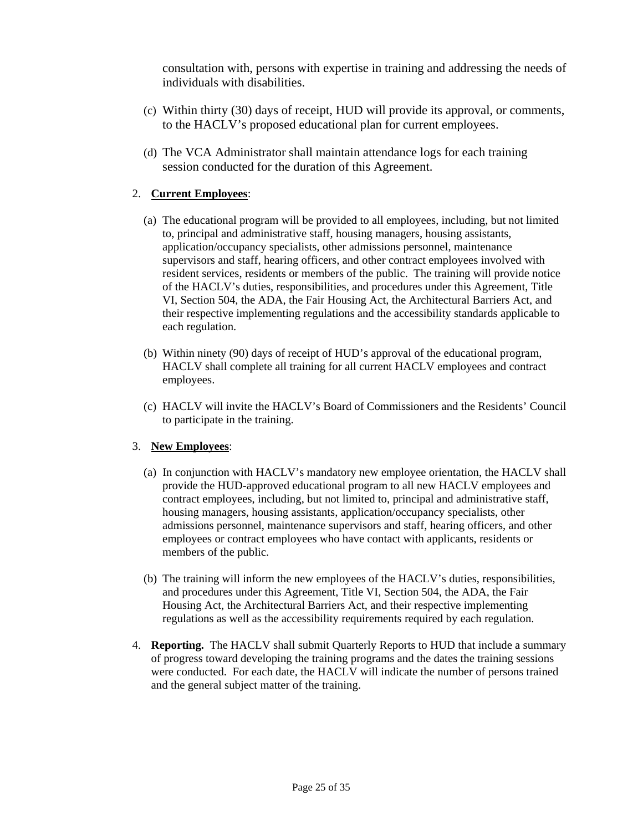consultation with, persons with expertise in training and addressing the needs of individuals with disabilities.

- (c) Within thirty (30) days of receipt, HUD will provide its approval, or comments, to the HACLV's proposed educational plan for current employees.
- (d) The VCA Administrator shall maintain attendance logs for each training session conducted for the duration of this Agreement.

### 2. **Current Employees**:

- (a) The educational program will be provided to all employees, including, but not limited to, principal and administrative staff, housing managers, housing assistants, application/occupancy specialists, other admissions personnel, maintenance supervisors and staff, hearing officers, and other contract employees involved with resident services, residents or members of the public. The training will provide notice of the HACLV's duties, responsibilities, and procedures under this Agreement, Title VI, Section 504, the ADA, the Fair Housing Act, the Architectural Barriers Act, and their respective implementing regulations and the accessibility standards applicable to each regulation.
- (b) Within ninety (90) days of receipt of HUD's approval of the educational program, HACLV shall complete all training for all current HACLV employees and contract employees.
- (c) HACLV will invite the HACLV's Board of Commissioners and the Residents' Council to participate in the training.

#### 3. **New Employees**:

- (a) In conjunction with HACLV's mandatory new employee orientation, the HACLV shall provide the HUD-approved educational program to all new HACLV employees and contract employees, including, but not limited to, principal and administrative staff, housing managers, housing assistants, application/occupancy specialists, other admissions personnel, maintenance supervisors and staff, hearing officers, and other employees or contract employees who have contact with applicants, residents or members of the public.
- (b) The training will inform the new employees of the HACLV's duties, responsibilities, and procedures under this Agreement, Title VI, Section 504, the ADA, the Fair Housing Act, the Architectural Barriers Act, and their respective implementing regulations as well as the accessibility requirements required by each regulation.
- 4. **Reporting.** The HACLV shall submit Quarterly Reports to HUD that include a summary of progress toward developing the training programs and the dates the training sessions were conducted. For each date, the HACLV will indicate the number of persons trained and the general subject matter of the training.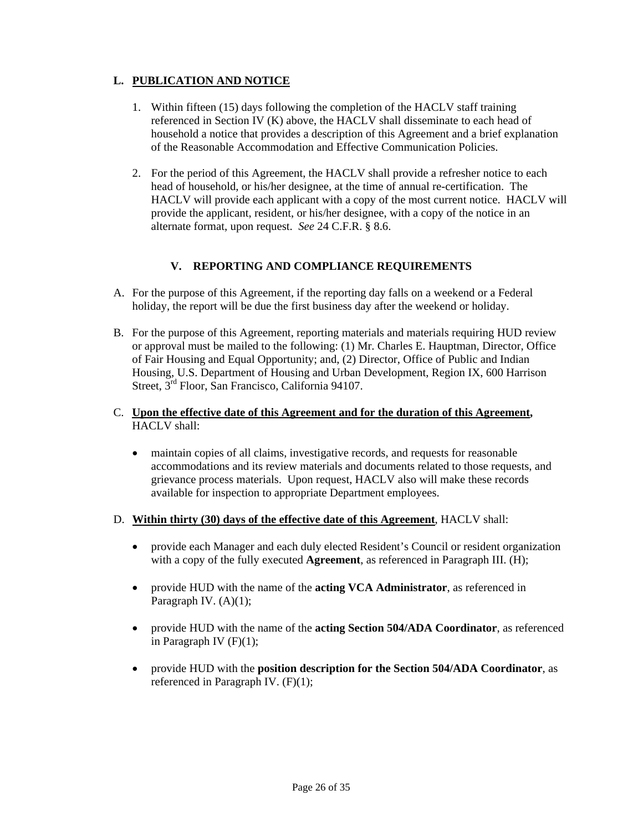## **L. PUBLICATION AND NOTICE**

- 1. Within fifteen (15) days following the completion of the HACLV staff training referenced in Section IV (K) above, the HACLV shall disseminate to each head of household a notice that provides a description of this Agreement and a brief explanation of the Reasonable Accommodation and Effective Communication Policies.
- 2. For the period of this Agreement, the HACLV shall provide a refresher notice to each head of household, or his/her designee, at the time of annual re-certification. The HACLV will provide each applicant with a copy of the most current notice. HACLV will provide the applicant, resident, or his/her designee, with a copy of the notice in an alternate format, upon request. *See* 24 C.F.R. § 8.6.

### **V. REPORTING AND COMPLIANCE REQUIREMENTS**

- A. For the purpose of this Agreement, if the reporting day falls on a weekend or a Federal holiday, the report will be due the first business day after the weekend or holiday.
- B. For the purpose of this Agreement, reporting materials and materials requiring HUD review or approval must be mailed to the following: (1) Mr. Charles E. Hauptman, Director, Office of Fair Housing and Equal Opportunity; and, (2) Director, Office of Public and Indian Housing, U.S. Department of Housing and Urban Development, Region IX, 600 Harrison Street, 3<sup>rd</sup> Floor, San Francisco, California 94107.
- C. **Upon the effective date of this Agreement and for the duration of this Agreement,**  HACLV shall:
	- maintain copies of all claims, investigative records, and requests for reasonable accommodations and its review materials and documents related to those requests, and grievance process materials. Upon request, HACLV also will make these records available for inspection to appropriate Department employees.

#### D. **Within thirty (30) days of the effective date of this Agreement**, HACLV shall:

- provide each Manager and each duly elected Resident's Council or resident organization with a copy of the fully executed **Agreement**, as referenced in Paragraph III. (H);
- provide HUD with the name of the **acting VCA Administrator**, as referenced in Paragraph IV. (A)(1);
- provide HUD with the name of the **acting Section 504/ADA Coordinator**, as referenced in Paragraph IV  $(F)(1)$ ;
- provide HUD with the **position description for the Section 504/ADA Coordinator**, as referenced in Paragraph IV. (F)(1);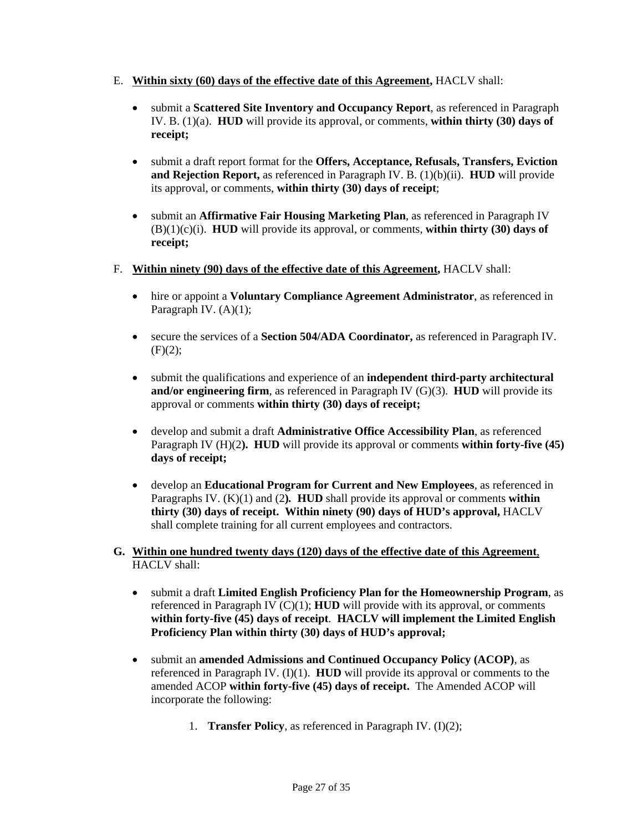- E. **Within sixty (60) days of the effective date of this Agreement,** HACLV shall:
	- submit a **Scattered Site Inventory and Occupancy Report**, as referenced in Paragraph IV. B. (1)(a). **HUD** will provide its approval, or comments, **within thirty (30) days of receipt;**
	- submit a draft report format for the **Offers, Acceptance, Refusals, Transfers, Eviction and Rejection Report,** as referenced in Paragraph IV. B. (1)(b)(ii). **HUD** will provide its approval, or comments, **within thirty (30) days of receipt**;
	- submit an **Affirmative Fair Housing Marketing Plan**, as referenced in Paragraph IV (B)(1)(c)(i). **HUD** will provide its approval, or comments, **within thirty (30) days of receipt;**
- F. **Within ninety (90) days of the effective date of this Agreement,** HACLV shall:
	- hire or appoint a **Voluntary Compliance Agreement Administrator**, as referenced in Paragraph IV. (A)(1);
	- secure the services of a **Section 504/ADA Coordinator,** as referenced in Paragraph IV.  $(F)(2);$
	- submit the qualifications and experience of an **independent third-party architectural and/or engineering firm**, as referenced in Paragraph IV (G)(3). **HUD** will provide its approval or comments **within thirty (30) days of receipt;**
	- develop and submit a draft **Administrative Office Accessibility Plan**, as referenced Paragraph IV (H)(2**). HUD** will provide its approval or comments **within forty-five (45) days of receipt;**
	- develop an **Educational Program for Current and New Employees**, as referenced in Paragraphs IV. (K)(1) and (2**)***.* **HUD** shall provide its approval or comments **within thirty (30) days of receipt. Within ninety (90) days of HUD's approval,** HACLV shall complete training for all current employees and contractors.
- **G. Within one hundred twenty days (120) days of the effective date of this Agreement**, HACLV shall:
	- submit a draft **Limited English Proficiency Plan for the Homeownership Program**, as referenced in Paragraph IV (C)(1); **HUD** will provide with its approval, or comments **within forty-five (45) days of receipt**. **HACLV will implement the Limited English Proficiency Plan within thirty (30) days of HUD's approval;**
	- submit an **amended Admissions and Continued Occupancy Policy (ACOP)**, as referenced in Paragraph IV. (I)(1). **HUD** will provide its approval or comments to the amended ACOP **within forty-five (45) days of receipt.** The Amended ACOP will incorporate the following:
		- 1. **Transfer Policy**, as referenced in Paragraph IV. (I)(2);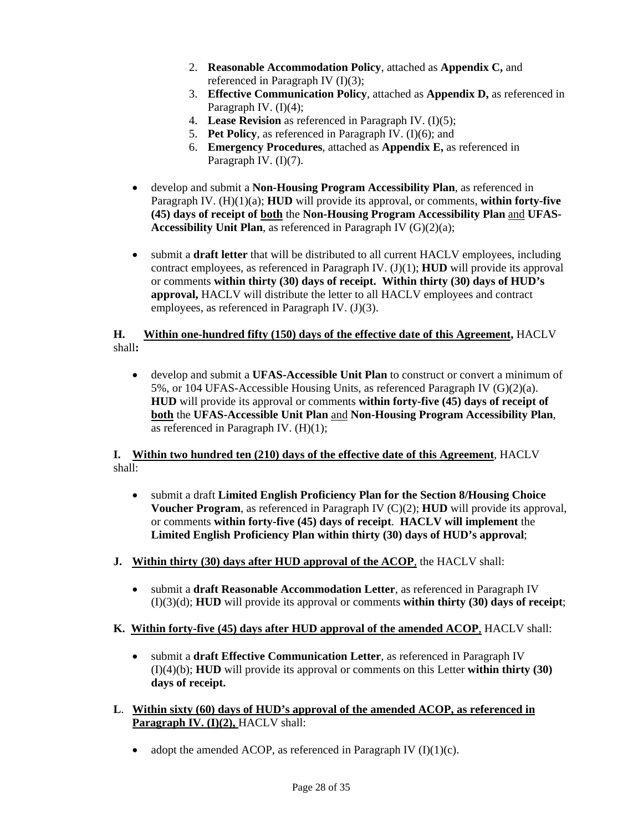- 2. **Reasonable Accommodation Policy**, attached as **Appendix C,** and referenced in Paragraph IV (I)(3);
- 3. **Effective Communication Policy**, attached as **Appendix D,** as referenced in Paragraph IV. (I)(4);
- 4. **Lease Revision** as referenced in Paragraph IV. (I)(5);
- 5. **Pet Policy**, as referenced in Paragraph IV. (I)(6); and
- 6. **Emergency Procedures**, attached as **Appendix E,** as referenced in Paragraph IV. (I)(7).
- develop and submit a **Non-Housing Program Accessibility Plan**, as referenced in Paragraph IV. (H)(1)(a); **HUD** will provide its approval, or comments, **within forty-five (45) days of receipt of both** the **Non-Housing Program Accessibility Plan** and **UFAS-Accessibility Unit Plan**, as referenced in Paragraph IV (G)(2)(a);
- submit a **draft letter** that will be distributed to all current HACLV employees, including contract employees, as referenced in Paragraph IV. (J)(1); **HUD** will provide its approval or comments **within thirty (30) days of receipt. Within thirty (30) days of HUD's approval,** HACLV will distribute the letter to all HACLV employees and contract employees, as referenced in Paragraph IV. (J)(3).

### **H. Within one-hundred fifty (150) days of the effective date of this Agreement,** HACLV shall**:**

• develop and submit a **UFAS-Accessible Unit Plan** to construct or convert a minimum of 5%, or 104 UFAS-Accessible Housing Units, as referenced Paragraph IV (G)(2)(a). **HUD** will provide its approval or comments **within forty-five (45) days of receipt of both** the **UFAS-Accessible Unit Plan** and **Non-Housing Program Accessibility Plan**, as referenced in Paragraph IV. (H)(1);

### **I. Within two hundred ten (210) days of the effective date of this Agreement**, HACLV shall:

- submit a draft **Limited English Proficiency Plan for the Section 8/Housing Choice Voucher Program**, as referenced in Paragraph IV (C)(2); **HUD** will provide its approval, or comments **within forty-five (45) days of receipt**. **HACLV will implement** the **Limited English Proficiency Plan within thirty (30) days of HUD's approval**;
- **J. Within thirty (30) days after HUD approval of the ACOP**, the HACLV shall:
	- submit a **draft Reasonable Accommodation Letter**, as referenced in Paragraph IV (I)(3)(d); **HUD** will provide its approval or comments **within thirty (30) days of receipt**;

### **K. Within forty-five (45) days after HUD approval of the amended ACOP**, HACLV shall:

- submit a **draft Effective Communication Letter**, as referenced in Paragraph IV (I)(4)(b); **HUD** will provide its approval or comments on this Letter **within thirty (30) days of receipt.**
- **L**. **Within sixty (60) days of HUD's approval of the amended ACOP, as referenced in Paragraph IV. (I)(2), HACLV shall:** 
	- adopt the amended ACOP, as referenced in Paragraph IV  $(I)(1)(c)$ .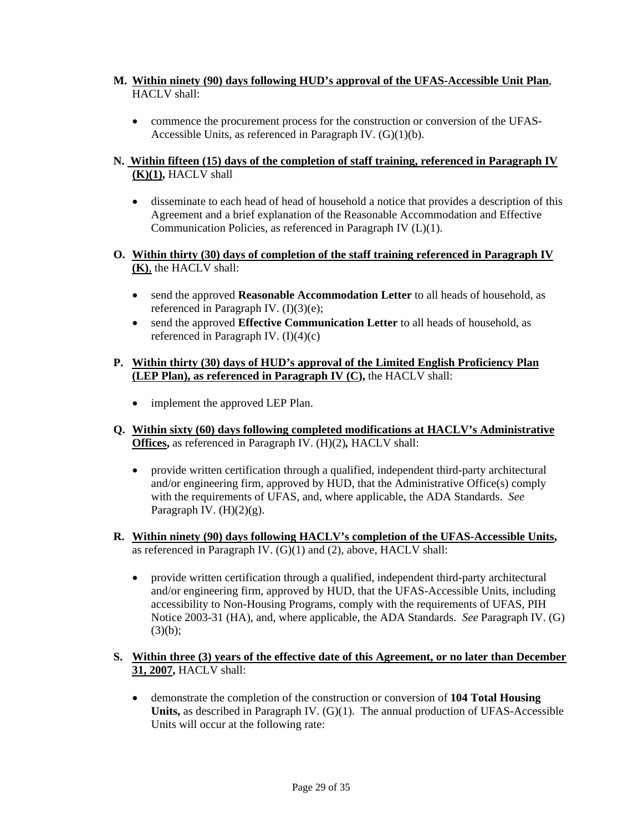- **M. Within ninety (90) days following HUD's approval of the UFAS-Accessible Unit Plan**, HACLV shall:
	- commence the procurement process for the construction or conversion of the UFAS-Accessible Units, as referenced in Paragraph IV.  $(G)(1)(b)$ .

### **N. Within fifteen (15) days of the completion of staff training, referenced in Paragraph IV (K)(1),** HACLV shall

- disseminate to each head of head of household a notice that provides a description of this Agreement and a brief explanation of the Reasonable Accommodation and Effective Communication Policies, as referenced in Paragraph IV (L)(1).
- **O. Within thirty (30) days of completion of the staff training referenced in Paragraph IV**   $\overline{(\mathbf{K})}$ , the HACLV shall:
	- send the approved **Reasonable Accommodation Letter** to all heads of household, as referenced in Paragraph IV. (I)(3)(e);
	- send the approved **Effective Communication Letter** to all heads of household, as referenced in Paragraph IV. (I)(4)(c)

#### **P. Within thirty (30) days of HUD's approval of the Limited English Proficiency Plan (LEP Plan), as referenced in Paragraph IV (C),** the HACLV shall:

- implement the approved LEP Plan.
- **Q. Within sixty (60) days following completed modifications at HACLV's Administrative Offices,** as referenced in Paragraph IV. (H)(2)*,* HACLV shall:
	- provide written certification through a qualified, independent third-party architectural and/or engineering firm, approved by HUD, that the Administrative Office(s) comply with the requirements of UFAS, and, where applicable, the ADA Standards. *See* Paragraph IV.  $(H)(2)(g)$ .
- **R. Within ninety (90) days following HACLV's completion of the UFAS-Accessible Units,**  as referenced in Paragraph IV. (G)(1) and (2), above, HACLV shall:
	- provide written certification through a qualified, independent third-party architectural and/or engineering firm, approved by HUD, that the UFAS-Accessible Units, including accessibility to Non-Housing Programs, comply with the requirements of UFAS, PIH Notice 2003-31 (HA), and, where applicable, the ADA Standards. *See* Paragraph IV. (G)  $(3)(b)$ :

### **S. Within three (3) years of the effective date of this Agreement, or no later than December 31, 2007,** HACLV shall:

• demonstrate the completion of the construction or conversion of **104 Total Housing Units,** as described in Paragraph IV. (G)(1). The annual production of UFAS-Accessible Units will occur at the following rate: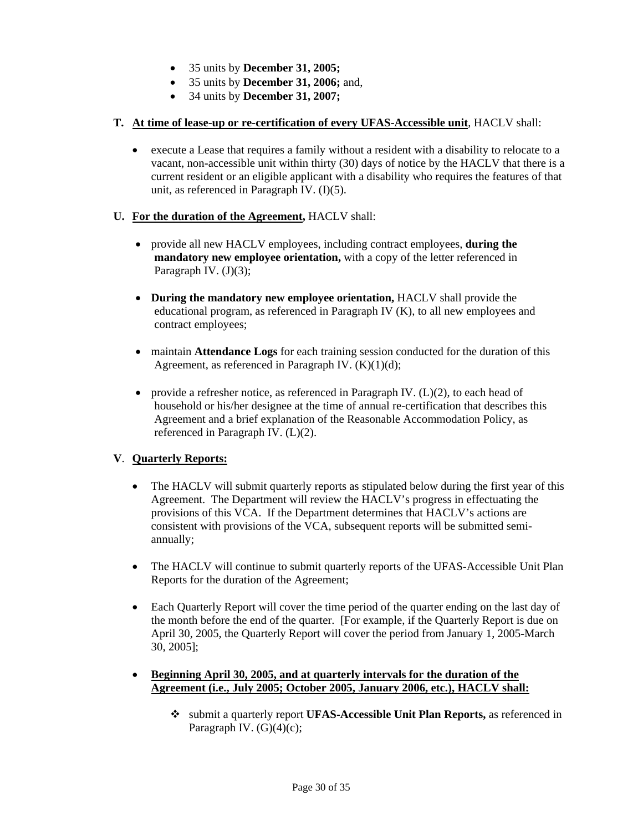- 35 units by **December 31, 2005;**
- 35 units by **December 31, 2006;** and,
- 34 units by **December 31, 2007;**

### **T. At time of lease-up or re-certification of every UFAS-Accessible unit**, HACLV shall:

• execute a Lease that requires a family without a resident with a disability to relocate to a vacant, non-accessible unit within thirty (30) days of notice by the HACLV that there is a current resident or an eligible applicant with a disability who requires the features of that unit, as referenced in Paragraph IV. (I)(5).

### **U. For the duration of the Agreement,** HACLV shall:

- provide all new HACLV employees, including contract employees, **during the mandatory new employee orientation,** with a copy of the letter referenced in Paragraph IV.  $(J)(3)$ ;
- **During the mandatory new employee orientation,** HACLV shall provide the educational program, as referenced in Paragraph IV (K), to all new employees and contract employees;
- maintain **Attendance Logs** for each training session conducted for the duration of this Agreement, as referenced in Paragraph IV.  $(K)(1)(d)$ ;
- provide a refresher notice, as referenced in Paragraph IV. (L)(2), to each head of household or his/her designee at the time of annual re-certification that describes this Agreement and a brief explanation of the Reasonable Accommodation Policy, as referenced in Paragraph IV. (L)(2).

### **V**. **Quarterly Reports:**

- The HACLV will submit quarterly reports as stipulated below during the first year of this Agreement. The Department will review the HACLV's progress in effectuating the provisions of this VCA. If the Department determines that HACLV's actions are consistent with provisions of the VCA, subsequent reports will be submitted semiannually;
- The HACLV will continue to submit quarterly reports of the UFAS-Accessible Unit Plan Reports for the duration of the Agreement;
- Each Quarterly Report will cover the time period of the quarter ending on the last day of the month before the end of the quarter. [For example, if the Quarterly Report is due on April 30, 2005, the Quarterly Report will cover the period from January 1, 2005-March 30, 2005];
- **Beginning April 30, 2005, and at quarterly intervals for the duration of the Agreement (i.e., July 2005; October 2005, January 2006, etc.), HACLV shall:**
	- submit a quarterly report **UFAS-Accessible Unit Plan Reports,** as referenced in Paragraph IV.  $(G)(4)(c)$ ;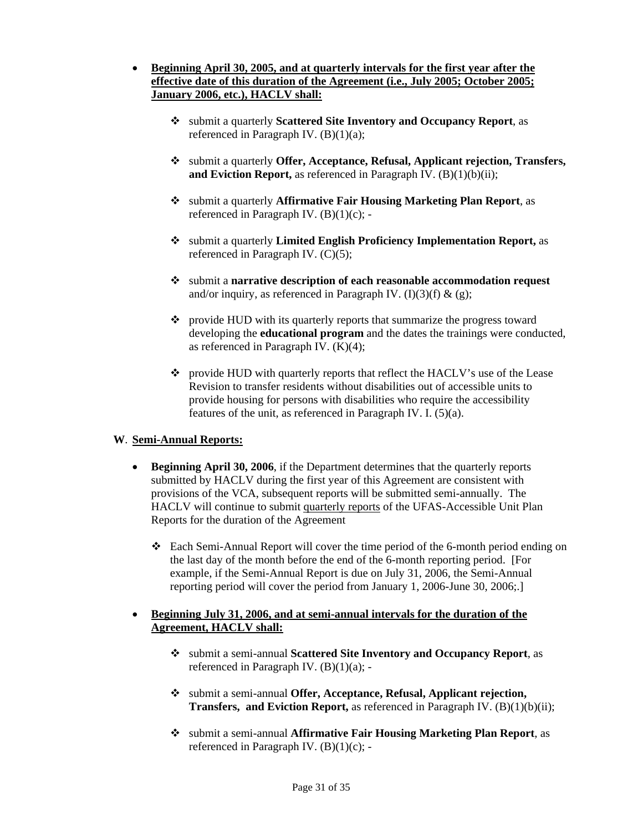- **Beginning April 30, 2005, and at quarterly intervals for the first year after the effective date of this duration of the Agreement (i.e., July 2005; October 2005; January 2006, etc.), HACLV shall:**
	- submit a quarterly **Scattered Site Inventory and Occupancy Report**, as referenced in Paragraph IV. (B)(1)(a);
	- submit a quarterly **Offer, Acceptance, Refusal, Applicant rejection, Transfers,**  and Eviction Report, as referenced in Paragraph IV. (B)(1)(b)(ii):
	- submit a quarterly **Affirmative Fair Housing Marketing Plan Report**, as referenced in Paragraph IV.  $(B)(1)(c)$ ; -
	- submit a quarterly **Limited English Proficiency Implementation Report,** as referenced in Paragraph IV. (C)(5);
	- submit a **narrative description of each reasonable accommodation request** and/or inquiry, as referenced in Paragraph IV.  $(I)(3)(f) \& (g)$ ;
	- $\bullet$  provide HUD with its quarterly reports that summarize the progress toward developing the **educational program** and the dates the trainings were conducted, as referenced in Paragraph IV. (K)(4);
	- provide HUD with quarterly reports that reflect the HACLV's use of the Lease Revision to transfer residents without disabilities out of accessible units to provide housing for persons with disabilities who require the accessibility features of the unit, as referenced in Paragraph IV. I. (5)(a).

#### **W**. **Semi-Annual Reports:**

- **Beginning April 30, 2006**, if the Department determines that the quarterly reports submitted by HACLV during the first year of this Agreement are consistent with provisions of the VCA, subsequent reports will be submitted semi-annually. The HACLV will continue to submit quarterly reports of the UFAS-Accessible Unit Plan Reports for the duration of the Agreement
	- Each Semi-Annual Report will cover the time period of the 6-month period ending on the last day of the month before the end of the 6-month reporting period. [For example, if the Semi-Annual Report is due on July 31, 2006, the Semi-Annual reporting period will cover the period from January 1, 2006-June 30, 2006;.]

### • **Beginning July 31, 2006, and at semi-annual intervals for the duration of the Agreement, HACLV shall:**

- submit a semi-annual **Scattered Site Inventory and Occupancy Report**, as referenced in Paragraph IV.  $(B)(1)(a)$ ; -
- submit a semi-annual **Offer, Acceptance, Refusal, Applicant rejection, Transfers, and Eviction Report,** as referenced in Paragraph IV. (B)(1)(b)(ii);
- submit a semi-annual **Affirmative Fair Housing Marketing Plan Report**, as referenced in Paragraph IV. (B)(1)(c); -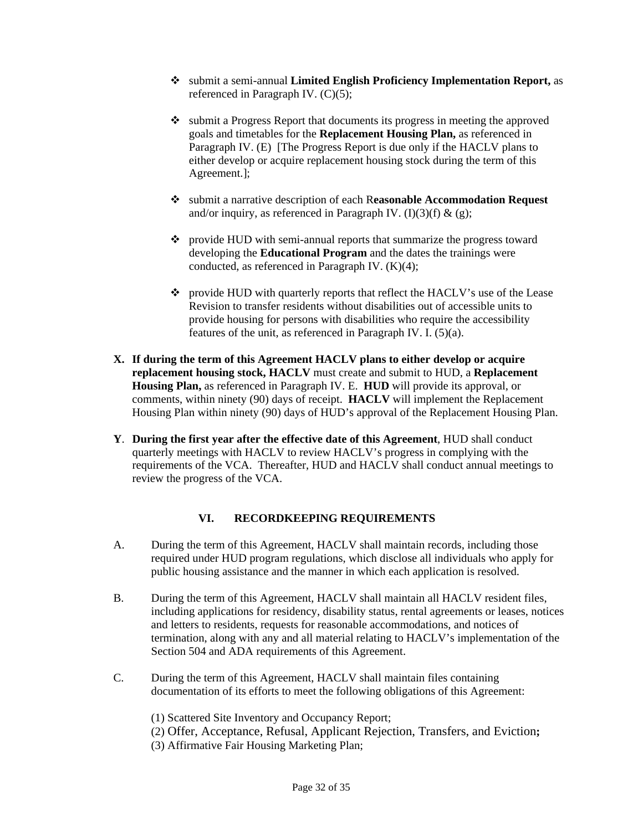- submit a semi-annual **Limited English Proficiency Implementation Report,** as referenced in Paragraph IV. (C)(5);
- \* submit a Progress Report that documents its progress in meeting the approved goals and timetables for the **Replacement Housing Plan,** as referenced in Paragraph IV. (E) [The Progress Report is due only if the HACLV plans to either develop or acquire replacement housing stock during the term of this Agreement.];
- submit a narrative description of each R**easonable Accommodation Request** and/or inquiry, as referenced in Paragraph IV.  $(I)(3)(f) \& (g)$ ;
- provide HUD with semi-annual reports that summarize the progress toward developing the **Educational Program** and the dates the trainings were conducted, as referenced in Paragraph IV. (K)(4);
- provide HUD with quarterly reports that reflect the HACLV's use of the Lease Revision to transfer residents without disabilities out of accessible units to provide housing for persons with disabilities who require the accessibility features of the unit, as referenced in Paragraph IV. I. (5)(a).
- **X. If during the term of this Agreement HACLV plans to either develop or acquire replacement housing stock, HACLV** must create and submit to HUD, a **Replacement Housing Plan,** as referenced in Paragraph IV. E. **HUD** will provide its approval, or comments, within ninety (90) days of receipt. **HACLV** will implement the Replacement Housing Plan within ninety (90) days of HUD's approval of the Replacement Housing Plan.
- **Y**. **During the first year after the effective date of this Agreement**, HUD shall conduct quarterly meetings with HACLV to review HACLV's progress in complying with the requirements of the VCA. Thereafter, HUD and HACLV shall conduct annual meetings to review the progress of the VCA.

### **VI. RECORDKEEPING REQUIREMENTS**

- A. During the term of this Agreement, HACLV shall maintain records, including those required under HUD program regulations, which disclose all individuals who apply for public housing assistance and the manner in which each application is resolved.
- B. During the term of this Agreement, HACLV shall maintain all HACLV resident files, including applications for residency, disability status, rental agreements or leases, notices and letters to residents, requests for reasonable accommodations, and notices of termination, along with any and all material relating to HACLV's implementation of the Section 504 and ADA requirements of this Agreement.
- C. During the term of this Agreement, HACLV shall maintain files containing documentation of its efforts to meet the following obligations of this Agreement:
	- (1) Scattered Site Inventory and Occupancy Report;
	- (2) Offer, Acceptance, Refusal, Applicant Rejection, Transfers, and Eviction**;**
	- (3) Affirmative Fair Housing Marketing Plan;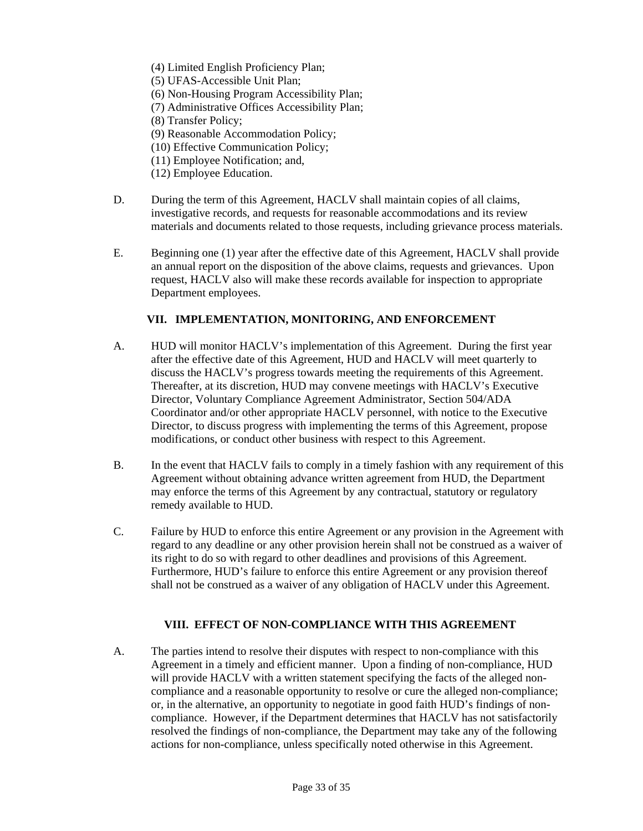- (4) Limited English Proficiency Plan;
- (5) UFAS-Accessible Unit Plan;
- (6) Non-Housing Program Accessibility Plan;
- (7) Administrative Offices Accessibility Plan;
- (8) Transfer Policy;
- (9) Reasonable Accommodation Policy;
- (10) Effective Communication Policy;
- (11) Employee Notification; and,
- (12) Employee Education.
- D. During the term of this Agreement, HACLV shall maintain copies of all claims, investigative records, and requests for reasonable accommodations and its review materials and documents related to those requests, including grievance process materials.
- E. Beginning one (1) year after the effective date of this Agreement, HACLV shall provide an annual report on the disposition of the above claims, requests and grievances. Upon request, HACLV also will make these records available for inspection to appropriate Department employees.

### **VII. IMPLEMENTATION, MONITORING, AND ENFORCEMENT**

- A. HUD will monitor HACLV's implementation of this Agreement. During the first year after the effective date of this Agreement, HUD and HACLV will meet quarterly to discuss the HACLV's progress towards meeting the requirements of this Agreement. Thereafter, at its discretion, HUD may convene meetings with HACLV's Executive Director, Voluntary Compliance Agreement Administrator, Section 504/ADA Coordinator and/or other appropriate HACLV personnel, with notice to the Executive Director, to discuss progress with implementing the terms of this Agreement, propose modifications, or conduct other business with respect to this Agreement.
- B. In the event that HACLV fails to comply in a timely fashion with any requirement of this Agreement without obtaining advance written agreement from HUD, the Department may enforce the terms of this Agreement by any contractual, statutory or regulatory remedy available to HUD.
- C. Failure by HUD to enforce this entire Agreement or any provision in the Agreement with regard to any deadline or any other provision herein shall not be construed as a waiver of its right to do so with regard to other deadlines and provisions of this Agreement. Furthermore, HUD's failure to enforce this entire Agreement or any provision thereof shall not be construed as a waiver of any obligation of HACLV under this Agreement.

### **VIII. EFFECT OF NON-COMPLIANCE WITH THIS AGREEMENT**

A. The parties intend to resolve their disputes with respect to non-compliance with this Agreement in a timely and efficient manner. Upon a finding of non-compliance, HUD will provide HACLV with a written statement specifying the facts of the alleged noncompliance and a reasonable opportunity to resolve or cure the alleged non-compliance; or, in the alternative, an opportunity to negotiate in good faith HUD's findings of noncompliance. However, if the Department determines that HACLV has not satisfactorily resolved the findings of non-compliance, the Department may take any of the following actions for non-compliance, unless specifically noted otherwise in this Agreement.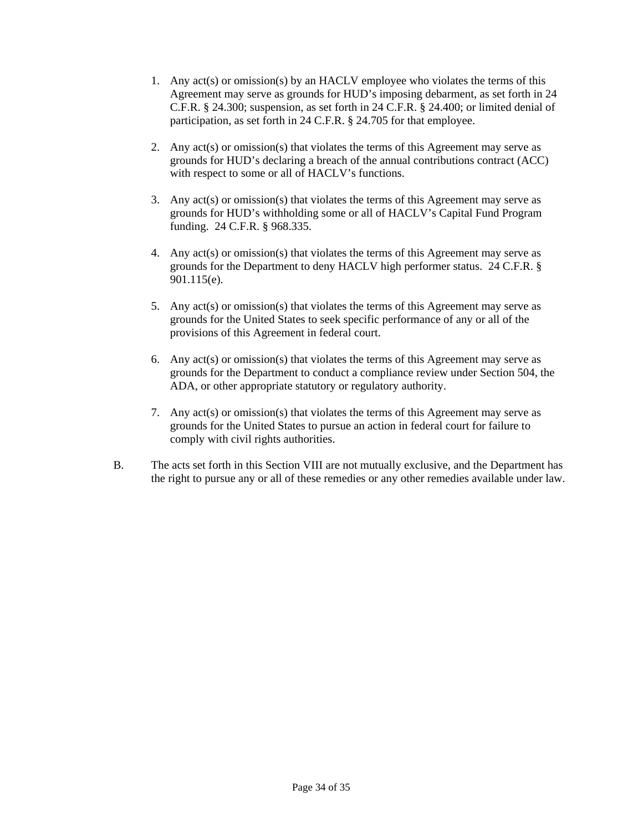- 1. Any act(s) or omission(s) by an HACLV employee who violates the terms of this Agreement may serve as grounds for HUD's imposing debarment, as set forth in 24 C.F.R. § 24.300; suspension, as set forth in 24 C.F.R. § 24.400; or limited denial of participation, as set forth in 24 C.F.R. § 24.705 for that employee.
- 2. Any act(s) or omission(s) that violates the terms of this Agreement may serve as grounds for HUD's declaring a breach of the annual contributions contract (ACC) with respect to some or all of HACLV's functions.
- 3. Any act(s) or omission(s) that violates the terms of this Agreement may serve as grounds for HUD's withholding some or all of HACLV's Capital Fund Program funding. 24 C.F.R. § 968.335.
- 4. Any act(s) or omission(s) that violates the terms of this Agreement may serve as grounds for the Department to deny HACLV high performer status. 24 C.F.R. § 901.115(e).
- 5. Any act(s) or omission(s) that violates the terms of this Agreement may serve as grounds for the United States to seek specific performance of any or all of the provisions of this Agreement in federal court.
- 6. Any act(s) or omission(s) that violates the terms of this Agreement may serve as grounds for the Department to conduct a compliance review under Section 504, the ADA, or other appropriate statutory or regulatory authority.
- 7. Any act(s) or omission(s) that violates the terms of this Agreement may serve as grounds for the United States to pursue an action in federal court for failure to comply with civil rights authorities.
- B. The acts set forth in this Section VIII are not mutually exclusive, and the Department has the right to pursue any or all of these remedies or any other remedies available under law.